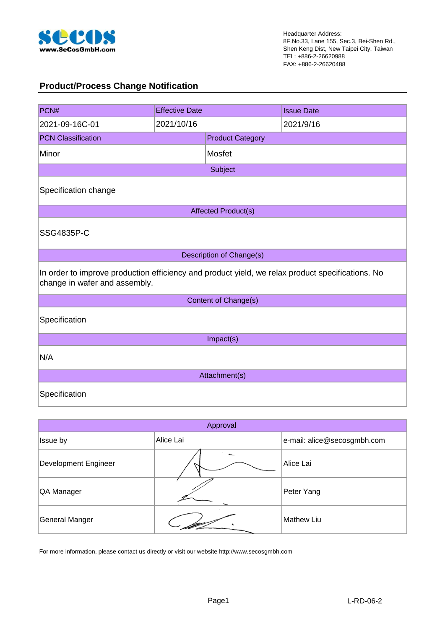

### **Product/Process Change Notification**

| PCN#                                                                                                                              | <b>Effective Date</b> |                            | <b>Issue Date</b> |  |  |
|-----------------------------------------------------------------------------------------------------------------------------------|-----------------------|----------------------------|-------------------|--|--|
| 2021-09-16C-01                                                                                                                    | 2021/10/16            |                            | 2021/9/16         |  |  |
| <b>PCN Classification</b>                                                                                                         |                       | <b>Product Category</b>    |                   |  |  |
| Minor                                                                                                                             |                       | Mosfet                     |                   |  |  |
|                                                                                                                                   |                       | Subject                    |                   |  |  |
| Specification change                                                                                                              |                       |                            |                   |  |  |
|                                                                                                                                   |                       | <b>Affected Product(s)</b> |                   |  |  |
| SSG4835P-C                                                                                                                        |                       |                            |                   |  |  |
|                                                                                                                                   |                       | Description of Change(s)   |                   |  |  |
| In order to improve production efficiency and product yield, we relax product specifications. No<br>change in wafer and assembly. |                       |                            |                   |  |  |
|                                                                                                                                   |                       | Content of Change(s)       |                   |  |  |
| Specification                                                                                                                     |                       |                            |                   |  |  |
| Impact(s)                                                                                                                         |                       |                            |                   |  |  |
| N/A                                                                                                                               |                       |                            |                   |  |  |
| Attachment(s)                                                                                                                     |                       |                            |                   |  |  |
| Specification                                                                                                                     |                       |                            |                   |  |  |

| Approval              |           |                             |  |  |  |
|-----------------------|-----------|-----------------------------|--|--|--|
| Issue by              | Alice Lai | e-mail: alice@secosgmbh.com |  |  |  |
| Development Engineer  |           | Alice Lai                   |  |  |  |
| QA Manager            |           | Peter Yang                  |  |  |  |
| <b>General Manger</b> |           | Mathew Liu                  |  |  |  |

For more information, please contact us directly or visit our website http://www.secosgmbh.com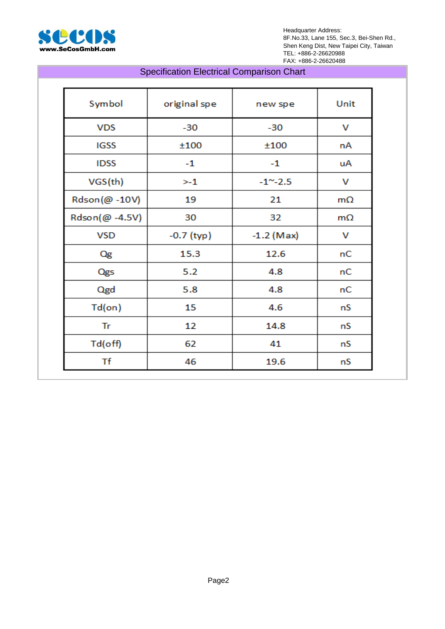

Headquarter Address: 8F.No.33, Lane 155, Sec.3, Bei-Shen Rd., Shen Keng Dist, New Taipei City, Taiwan TEL: +886-2-26620988 FAX: +886-2-26620488

### Specification Electrical Comparison Chart

| Symbol         | original spe | new spe          | Unit      |
|----------------|--------------|------------------|-----------|
| <b>VDS</b>     | $-30$        | $-30$            | v         |
| <b>IGSS</b>    | ±100         | ±100             | nA        |
| <b>IDSS</b>    | $-1$         | $-1$             | uA        |
| VGS(th)        | >1           | $-1^{\sim} -2.5$ | v         |
| Rdson(@ -10V)  | 19           | 21               | $m\Omega$ |
| Rdson(@ -4.5V) | 30           | 32               | $m\Omega$ |
| <b>VSD</b>     | $-0.7$ (typ) | $-1.2$ (Max)     | v         |
| Qg             | 15.3         | 12.6             | nC        |
| Qgs            | 5.2          | 4.8              | nC        |
| Qgd            | 5.8          | 4.8              | nC        |
| $Td($ on $)$   | 15           | 4.6              | nS        |
| Tr             | 12           | 14.8             | nS        |
| $Td$ (off)     | 62           | 41               | nS        |
| Τf             | 46           | 19.6             | nS        |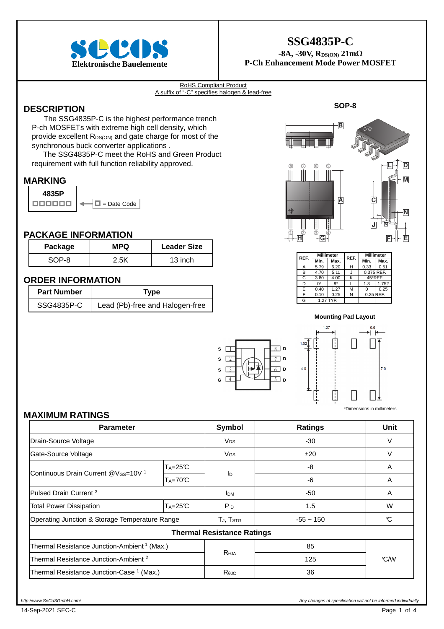

### **SSG4835P-C**

 $-8A$ ,  $-30V$ ,  $R_{DS(ON)}$   $21m\Omega$ **Elektronische Bauelemente P-Ch Enhancement Mode Power MOSFET** 

#### RoHS Compliant Product A suffix of "-C" specifies halogen & lead-free

### **DESCRIPTION**

The SSG4835P-C is the highest performance trench P-ch MOSFETs with extreme high cell density, which provide excellent R<sub>DS(ON)</sub> and gate charge for most of the synchronous buck converter applications .

The SSG4835P-C meet the RoHS and Green Product requirement with full function reliability approved.

#### **MARKING**

**4835P**  = Date Code

#### **PACKAGE INFORMATION**

| Package | <b>MPQ</b> | <b>Leader Size</b> |
|---------|------------|--------------------|
| $SOP-8$ | 2 5K       | 13 inch            |

#### **ORDER INFORMATION**

| <b>Part Number</b> | Type                            |
|--------------------|---------------------------------|
| SSG4835P-C         | Lead (Pb)-free and Halogen-free |



| REF. | <b>Millimeter</b> |           | REF. | <b>Millimeter</b> |         |
|------|-------------------|-----------|------|-------------------|---------|
|      | Min.              | Max.      |      | Min.              | Max.    |
| Α    | 5.79              | 6.20      | н    | 0.33              | 0.51    |
| B    | 4.70              | 5.11      |      | 0.375 REF.        |         |
| C    | 3.80              | 4.00      | κ    |                   | 45°REF. |
| D    | ∩°                | $8^\circ$ |      | 1.3               | 1.752   |
| E    | 0.40              | 1.27      | м    | ŋ                 | 0.25    |
| F    | 0.10              | 0.25      | Ν    | 0.25 REF.         |         |
| G    |                   | 1.27 TYP. |      |                   |         |

**Mounting Pad Layout**

 $127$ 

 $4.0$ 



 $7.0$ H li.

\*Dimensions in millimeters

#### **MAXIMUM RATINGS**

| <b>Parameter</b>                                            |          | Symbol                            | <b>Ratings</b> | <b>Unit</b>      |
|-------------------------------------------------------------|----------|-----------------------------------|----------------|------------------|
| Drain-Source Voltage                                        |          | <b>V<sub>DS</sub></b>             | $-30$          | V                |
| Gate-Source Voltage                                         |          | V <sub>GS</sub>                   | ±20            | V                |
|                                                             | $Ta=25C$ |                                   | -8             | A                |
| Continuous Drain Current @V <sub>GS</sub> =10V <sup>1</sup> | $Ta=70C$ | Ιp                                | -6             | A                |
| Pulsed Drain Current <sup>3</sup>                           |          | <b>I</b> <sub>DM</sub>            | -50            | A                |
| $Ta=25C$<br><b>Total Power Dissipation</b>                  |          | P <sub>D</sub>                    | 1.5            | W                |
| Operating Junction & Storage Temperature Range              |          | TJ, T <sub>STG</sub>              | $-55 \sim 150$ | C                |
|                                                             |          | <b>Thermal Resistance Ratings</b> |                |                  |
| Thermal Resistance Junction-Ambient <sup>1</sup> (Max.)     |          |                                   | 85             |                  |
| Thermal Resistance Junction-Ambient <sup>2</sup>            |          | <b>Reja</b>                       | 125            | $\mathcal{C}$ /W |
| Thermal Resistance Junction-Case <sup>1</sup> (Max.)        |          | Rejc                              | 36             |                  |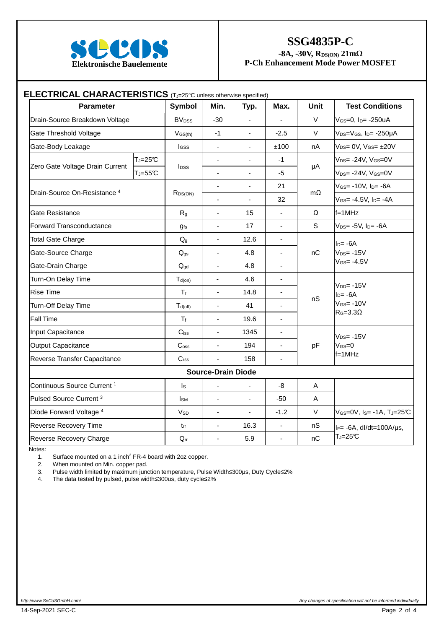

### **SSG4835P-C**

 $-8A$ ,  $-30V$ ,  $R_{DS(ON)}$   $21m\Omega$ 

| <b>Parameter</b>                        |             | <b>Symbol</b>                                                             | Min.                         | Typ.                     | Max.                         | <b>Unit</b> | <b>Test Conditions</b>                   |
|-----------------------------------------|-------------|---------------------------------------------------------------------------|------------------------------|--------------------------|------------------------------|-------------|------------------------------------------|
| Drain-Source Breakdown Voltage          |             | <b>BV</b> <sub>DSS</sub>                                                  | $-30$                        | ÷,                       | $\frac{1}{2}$                | V           | VGS=0, Ip= -250uA                        |
| Gate Threshold Voltage                  |             | $V_{GS(th)}$                                                              | $-1$                         | $\overline{a}$           | $-2.5$                       | V           | $V_{DS}=V_{GS}$ , $I_{D}$ - -250 $\mu$ A |
| Gate-Body Leakage                       |             | <b>I</b> GSS                                                              | $\blacksquare$               | $\overline{\phantom{0}}$ | ±100                         | nA          | $V_{DS} = 0V$ , $V_{GS} = \pm 20V$       |
|                                         | $T_J = 25C$ |                                                                           | $\frac{1}{2}$                | ä,                       | $-1$                         |             | $V_{DS} = -24V$ , $V_{GS} = 0V$          |
| Zero Gate Voltage Drain Current         | $T_J = 55C$ | μA<br><b>I</b> <sub>pss</sub><br>$-5$<br>$\blacksquare$<br>$\blacksquare$ | $V_{DS}$ -24V, $V_{GS}$ = 0V |                          |                              |             |                                          |
| Drain-Source On-Resistance <sup>4</sup> |             |                                                                           | $\frac{1}{2}$                | $\overline{a}$           | 21                           | $m\Omega$   | $V$ <sub>GS</sub> = -10V, $ID$ = -6A     |
|                                         |             | $R_{DS(ON)}$                                                              | $\blacksquare$               | ÷,                       | 32                           |             | $V$ <sub>GS</sub> = -4.5V, $I_{D}$ = -4A |
| Gate Resistance                         |             | R <sub>g</sub>                                                            | $\overline{a}$               | 15                       | L.                           | Ω           | $f = 1$ MHz                              |
| <b>Forward Transconductance</b>         |             | <b>gfs</b>                                                                | $\blacksquare$               | 17                       | $\blacksquare$               | S           | $V_{DS} = -5V$ , $I_{D} = -6A$           |
| <b>Total Gate Charge</b>                |             | Q <sub>g</sub>                                                            | $\blacksquare$               | 12.6                     | $\blacksquare$               |             | $I_D = -6A$                              |
| Gate-Source Charge                      |             | $Q_{gs}$                                                                  | $\blacksquare$               | 4.8                      | $\qquad \qquad \blacksquare$ | nC          | $V_{DS} = -15V$                          |
| Gate-Drain Charge                       |             | $Q_{gd}$                                                                  | ÷,                           | 4.8                      | ÷,                           |             | $V$ GS= $-4.5V$                          |
| Turn-On Delay Time                      |             | $T_{d(on)}$                                                               | $\blacksquare$               | 4.6                      | $\frac{1}{2}$                |             |                                          |
| <b>Rise Time</b>                        |             | $\mathsf{T}_\mathsf{r}$                                                   | $\blacksquare$               | 14.8                     | $\qquad \qquad \blacksquare$ | nS          | $V_{DD} = -15V$<br>$ID= -6A$             |
| Turn-Off Delay Time                     |             | $T_{d(off)}$                                                              | $\blacksquare$               | 41                       | ÷,                           |             | $V$ GS= $-10V$<br>$R_G = 3.3 \Omega$     |
| Fall Time                               |             | $T_f$                                                                     | $\blacksquare$               | 19.6                     | $\frac{1}{2}$                |             |                                          |
| Input Capacitance                       |             | $C$ iss                                                                   | $\overline{a}$               | 1345                     | L.                           |             | $V_{DS} = -15V$                          |
| <b>Output Capacitance</b>               |             | C <sub>oss</sub>                                                          | $\overline{\phantom{a}}$     | 194                      | ä,                           | pF          | $V$ GS=0                                 |
| Reverse Transfer Capacitance            |             | C <sub>rss</sub>                                                          | ä,                           | 158                      | ä,                           |             | $f = 1$ MHz                              |
|                                         |             |                                                                           | <b>Source-Drain Diode</b>    |                          |                              |             |                                          |
| Continuous Source Current <sup>1</sup>  |             | $I_{\rm S}$                                                               | ÷,                           | L.                       | -8                           | A           |                                          |
| Pulsed Source Current <sup>3</sup>      |             | <b>I</b> sm                                                               | $\blacksquare$               | L.                       | $-50$                        | $\mathsf A$ |                                          |
| Diode Forward Voltage 4                 |             | <b>V<sub>SD</sub></b>                                                     | $\blacksquare$               | $\blacksquare$           | $-1.2$                       | $\vee$      | VGS=0V, Is= -1A, TJ=25°C                 |
| Reverse Recovery Time                   |             | $t_{rr}$                                                                  | $\blacksquare$               | 16.3                     | $\blacksquare$               | nS          | $I_F = -6A$ , dl/dt=100A/µs,             |
| Reverse Recovery Charge                 |             | $Q_{rr}$                                                                  | ÷,                           | 5.9                      | L                            | nC          | $T_J = 25C$                              |

Notes:

1. Surface mounted on a 1 inch<sup>2</sup> FR-4 board with 2oz copper.

2. When mounted on Min. copper pad.

3. Pulse width limited by maximum junction temperature, Pulse Width≤300µs, Duty Cycle≤2%<br>4. The data tested by pulsed, pulse width≤300us, duty cycle≤2%

4. The data tested by pulsed, pulse width≤300us, duty cycle≤2%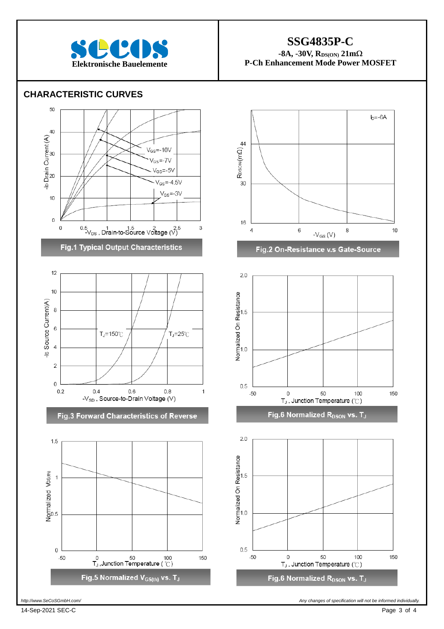

### **SSG4835P-C**

 $-8A$ ,  $-30V$ ,  $R_{DS(ON)}$   $21m\Omega$ **Elektronische Bauelemente P-Ch Enhancement Mode Power MOSFET** 

#### **CHARACTERISTIC CURVES**



Fig.5 Normalized V<sub>GS(th)</sub> vs. T<sub>J</sub>



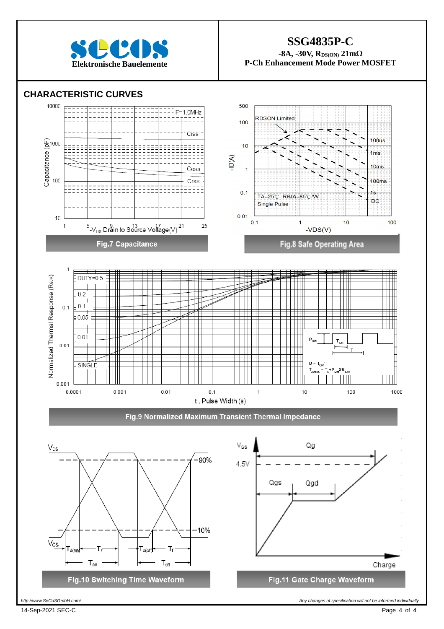

### **SSG4835P-C**   $-8A$ ,  $-30V$ ,  $R_{DS(ON)}$   $21m\Omega$ **Elektronische Bauelemente P-Ch Enhancement Mode Power MOSFET**

### **CHARACTERISTIC CURVES**



I

14-Sep-2021 SEC-C Page 4 of 4

http://www.SeCoSGmbH.com/ **Any changes of specification will not be informed individually**<br>
Any changes of specification will not be informed individually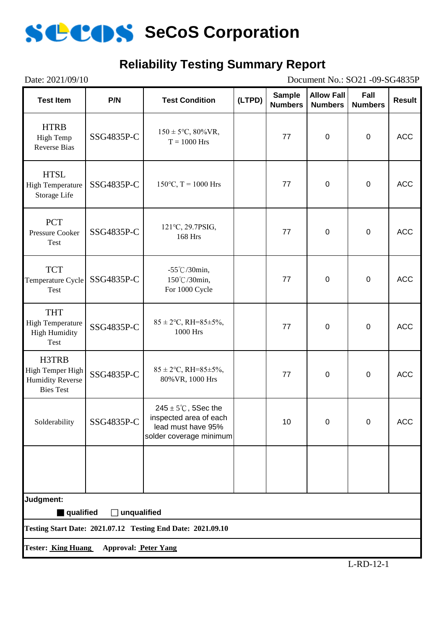

### **Reliability Testing Summary Report**

| Date: 2021/09/10<br>Document No.: SO21 -09-SG4835P                                      |                             |                                                                                                            |        |                                 |                                     |                        |               |
|-----------------------------------------------------------------------------------------|-----------------------------|------------------------------------------------------------------------------------------------------------|--------|---------------------------------|-------------------------------------|------------------------|---------------|
| <b>Test Item</b>                                                                        | P/N                         | <b>Test Condition</b>                                                                                      | (LTPD) | <b>Sample</b><br><b>Numbers</b> | <b>Allow Fall</b><br><b>Numbers</b> | Fall<br><b>Numbers</b> | <b>Result</b> |
| <b>HTRB</b><br><b>High Temp</b><br><b>Reverse Bias</b>                                  | SSG4835P-C                  | $150 \pm 5^{\circ}C$ , 80%VR,<br>$T = 1000$ Hrs                                                            |        | 77                              | $\mathbf 0$                         | $\mathbf 0$            | <b>ACC</b>    |
| <b>HTSL</b><br><b>High Temperature</b><br>Storage Life                                  | SSG4835P-C                  | $150^{\circ}$ C, T = 1000 Hrs                                                                              |        | 77                              | $\boldsymbol{0}$                    | $\mathbf 0$            | <b>ACC</b>    |
| <b>PCT</b><br><b>Pressure Cooker</b><br>Test                                            | SSG4835P-C                  | 121°C, 29.7PSIG,<br>168 Hrs                                                                                |        | 77                              | $\mathbf 0$                         | $\mathbf 0$            | <b>ACC</b>    |
| <b>TCT</b><br>Temperature Cycle<br>Test                                                 | SSG4835P-C                  | $-55^{\circ}$ C/30min,<br>150℃/30min,<br>For 1000 Cycle                                                    |        | 77                              | $\mathbf 0$                         | $\boldsymbol{0}$       | <b>ACC</b>    |
| <b>THT</b><br><b>High Temperature</b><br><b>High Humidity</b><br>Test                   | SSG4835P-C                  | $85 \pm 2$ °C, RH=85±5%,<br>1000 Hrs                                                                       |        | 77                              | $\boldsymbol{0}$                    | $\mathbf 0$            | <b>ACC</b>    |
| H3TRB<br>High Temper High<br><b>Humidity Reverse</b><br><b>Bies Test</b>                | SSG4835P-C                  | $85 \pm 2$ °C, RH=85±5%,<br>80% VR, 1000 Hrs                                                               |        | 77                              | $\mathbf 0$                         | $\mathbf 0$            | <b>ACC</b>    |
| Solderability                                                                           | SSG4835P-C                  | $245 \pm 5^{\circ}$ C, 5Sec the<br>inspected area of each<br>lead must have 95%<br>solder coverage minimum |        | 10                              | 0                                   | $\mathbf 0$            | <b>ACC</b>    |
|                                                                                         |                             |                                                                                                            |        |                                 |                                     |                        |               |
| Judgment:                                                                               |                             |                                                                                                            |        |                                 |                                     |                        |               |
| qualified<br>unqualified<br>Testing Start Date: 2021.07.12 Testing End Date: 2021.09.10 |                             |                                                                                                            |        |                                 |                                     |                        |               |
|                                                                                         |                             |                                                                                                            |        |                                 |                                     |                        |               |
| <b>Tester: King Huang</b>                                                               | <b>Approval: Peter Yang</b> |                                                                                                            |        |                                 |                                     |                        |               |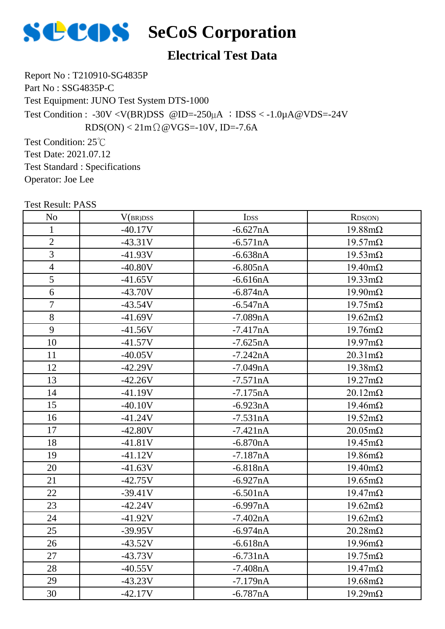

### **Electrical Test Data**

Report No : T210910-SG4835P Part No : SSG4835P-C Test Equipment: JUNO Test System DTS-1000 Test Condition : -30V <V(BR)DSS @ID=-250\, A ; IDSS < -1.0\, A @VDS=-24V  $RDS(ON) < 21m\Omega$  @ VGS=-10V, ID=-7.6A

Test Condition: 25℃ Test Date: 2021.07.12 Test Standard : Specifications Operator: Joe Lee

| <b>ICSU NESUIL FASS</b> |           |             |                        |
|-------------------------|-----------|-------------|------------------------|
| N <sub>o</sub>          | V(BR)DSS  | <b>IDSS</b> | RDS(ON)                |
| 1                       | $-40.17V$ | $-6.627nA$  | $19.88 \text{m}\Omega$ |
| $\mathfrak{2}$          | $-43.31V$ | $-6.571nA$  | $19.57 \text{m}\Omega$ |
| 3                       | $-41.93V$ | $-6.638nA$  | $19.53 \text{mA}$      |
| $\overline{4}$          | $-40.80V$ | $-6.805nA$  | $19.40 \text{m}\Omega$ |
| 5                       | $-41.65V$ | $-6.616nA$  | $19.33 \text{mA}$      |
| 6                       | $-43.70V$ | $-6.874nA$  | $19.90 \text{m}\Omega$ |
| $\tau$                  | $-43.54V$ | $-6.547nA$  | $19.75 \text{m}\Omega$ |
| 8                       | $-41.69V$ | $-7.089nA$  | $19.62 \text{m}\Omega$ |
| 9                       | $-41.56V$ | $-7.417nA$  | $19.76 \text{m}\Omega$ |
| 10                      | $-41.57V$ | $-7.625nA$  | $19.97 \text{m}\Omega$ |
| 11                      | $-40.05V$ | $-7.242nA$  | $20.31 \text{m}\Omega$ |
| 12                      | $-42.29V$ | $-7.049nA$  | $19.38 \text{m}\Omega$ |
| 13                      | $-42.26V$ | $-7.571nA$  | $19.27 \text{m}\Omega$ |
| 14                      | $-41.19V$ | $-7.175nA$  | $20.12 \text{m}\Omega$ |
| 15                      | $-40.10V$ | $-6.923nA$  | $19.46 \text{m}\Omega$ |
| 16                      | $-41.24V$ | $-7.531nA$  | $19.52 \text{m}\Omega$ |
| 17                      | $-42.80V$ | $-7.421nA$  | $20.05 \text{m}\Omega$ |
| 18                      | $-41.81V$ | $-6.870nA$  | $19.45 \text{m}\Omega$ |
| 19                      | $-41.12V$ | $-7.187nA$  | $19.86 \text{m}\Omega$ |
| 20                      | $-41.63V$ | $-6.818nA$  | $19.40 \text{m}\Omega$ |
| 21                      | $-42.75V$ | $-6.927nA$  | $19.65 \text{m}\Omega$ |
| 22                      | $-39.41V$ | $-6.501nA$  | $19.47 \text{m}\Omega$ |
| 23                      | $-42.24V$ | $-6.997nA$  | $19.62 \text{m}\Omega$ |
| 24                      | $-41.92V$ | $-7.402nA$  | $19.62 \text{m}\Omega$ |
| 25                      | $-39.95V$ | $-6.974nA$  | $20.28 \text{m}\Omega$ |
| 26                      | $-43.52V$ | $-6.618nA$  | $19.96 \text{m}\Omega$ |
| 27                      | $-43.73V$ | $-6.731nA$  | $19.75 \text{m}\Omega$ |
| 28                      | $-40.55V$ | $-7.408nA$  | $19.47 \text{m}\Omega$ |
| 29                      | $-43.23V$ | $-7.179nA$  | $19.68 \text{m}\Omega$ |
| 30                      | $-42.17V$ | $-6.787nA$  | $19.29 \text{m}\Omega$ |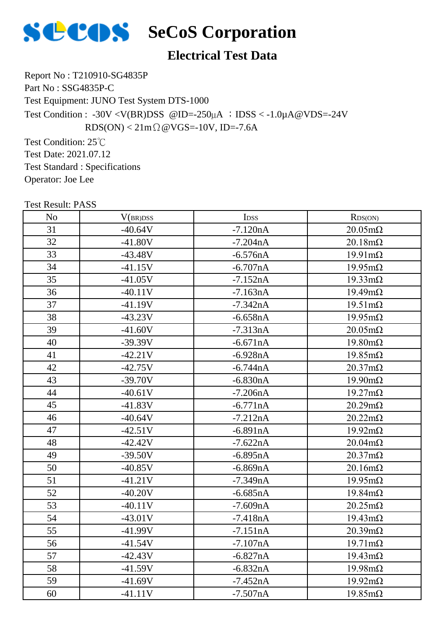

### **Electrical Test Data**

Report No : T210910-SG4835P Part No : SSG4835P-C Test Equipment: JUNO Test System DTS-1000 Test Condition : -30V <V(BR)DSS @ID=-250\, A ; IDSS < -1.0\, A @VDS=-24V  $RDS(ON) < 21m\Omega$  @ VGS=-10V, ID=-7.6A

Test Condition: 25℃ Test Date: 2021.07.12 Test Standard : Specifications Operator: Joe Lee

| Test Result: PASS |           |                  |                        |
|-------------------|-----------|------------------|------------------------|
| N <sub>o</sub>    | V(BR)DSS  | I <sub>DSS</sub> | RDS(ON)                |
| 31                | $-40.64V$ | $-7.120nA$       | $20.05 \text{m}\Omega$ |
| 32                | $-41.80V$ | $-7.204nA$       | $20.18 \text{m}\Omega$ |
| 33                | $-43.48V$ | $-6.576nA$       | $19.91 \text{m}\Omega$ |
| 34                | $-41.15V$ | $-6.707nA$       | $19.95 \text{mA}$      |
| 35                | $-41.05V$ | $-7.152nA$       | $19.33 \text{mA}$      |
| 36                | $-40.11V$ | $-7.163nA$       | $19.49 \text{m}\Omega$ |
| 37                | $-41.19V$ | $-7.342nA$       | $19.51 \text{m}\Omega$ |
| 38                | $-43.23V$ | $-6.658nA$       | $19.95 \text{m}\Omega$ |
| 39                | $-41.60V$ | $-7.313nA$       | $20.05 \text{m}\Omega$ |
| 40                | $-39.39V$ | $-6.671nA$       | $19.80 \text{m}\Omega$ |
| 41                | $-42.21V$ | $-6.928nA$       | $19.85 \text{m}\Omega$ |
| 42                | $-42.75V$ | $-6.744nA$       | $20.37 \text{m}\Omega$ |
| 43                | $-39.70V$ | $-6.830nA$       | $19.90 \text{m}\Omega$ |
| 44                | $-40.61V$ | $-7.206nA$       | $19.27 \text{m}\Omega$ |
| 45                | $-41.83V$ | $-6.771nA$       | $20.29 \text{m}\Omega$ |
| 46                | $-40.64V$ | $-7.212nA$       | $20.22 \text{m}\Omega$ |
| 47                | $-42.51V$ | $-6.891nA$       | $19.92 \text{m}\Omega$ |
| 48                | $-42.42V$ | $-7.622nA$       | $20.04 \text{m}\Omega$ |
| 49                | $-39.50V$ | $-6.895nA$       | $20.37 \text{mA}$      |
| 50                | $-40.85V$ | $-6.869nA$       | $20.16m\Omega$         |
| 51                | $-41.21V$ | $-7.349nA$       | $19.95 \text{m}\Omega$ |
| 52                | $-40.20V$ | $-6.685nA$       | $19.84 \text{m}\Omega$ |
| 53                | $-40.11V$ | $-7.609nA$       | $20.25 \text{m}\Omega$ |
| 54                | $-43.01V$ | $-7.418nA$       | $19.43 \text{m}\Omega$ |
| 55                | $-41.99V$ | $-7.151nA$       | $20.39 \text{m}\Omega$ |
| 56                | $-41.54V$ | $-7.107nA$       | $19.71 \text{m}\Omega$ |
| 57                | $-42.43V$ | $-6.827nA$       | $19.43 \text{m}\Omega$ |
| 58                | $-41.59V$ | $-6.832nA$       | $19.98 \text{m}\Omega$ |
| 59                | $-41.69V$ | $-7.452nA$       | $19.92 \text{m}\Omega$ |
| 60                | $-41.11V$ | $-7.507nA$       | $19.85 \text{m}\Omega$ |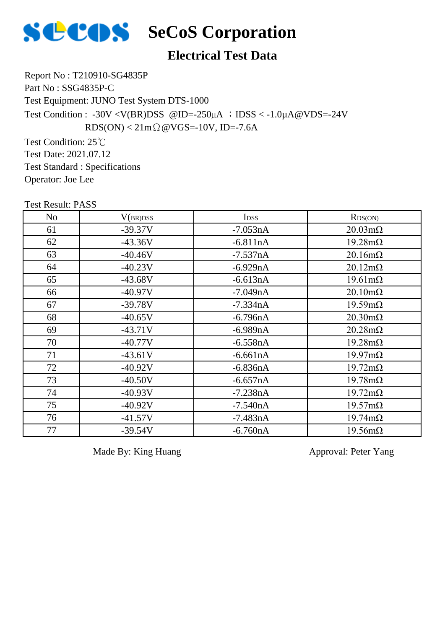

### **Electrical Test Data**

Report No : T210910-SG4835P Part No : SSG4835P-C Test Equipment: JUNO Test System DTS-1000 Test Condition : -30V <V(BR)DSS @ID=-250µA ;IDSS < -1.0µA@VDS=-24V  $RDS(ON) < 21m\Omega$  @ VGS=-10V, ID=-7.6A

Test Condition: 25℃ Test Date: 2021.07.12 Test Standard : Specifications Operator: Joe Lee

| <b>Test Result: PASS</b> |           |             |                        |
|--------------------------|-----------|-------------|------------------------|
| No                       | V(BR)DSS  | <b>IDSS</b> | RDS(ON)                |
| 61                       | $-39.37V$ | $-7.053nA$  | $20.03 \text{m}\Omega$ |
| 62                       | $-43.36V$ | $-6.811nA$  | $19.28 \text{m}\Omega$ |
| 63                       | $-40.46V$ | $-7.537nA$  | $20.16 \text{m}\Omega$ |
| 64                       | $-40.23V$ | $-6.929nA$  | $20.12 \text{m}\Omega$ |
| 65                       | $-43.68V$ | $-6.613nA$  | $19.61 \text{m}\Omega$ |
| 66                       | $-40.97V$ | $-7.049nA$  | $20.10 \text{m}\Omega$ |
| 67                       | $-39.78V$ | $-7.334nA$  | $19.59 \text{m}\Omega$ |
| 68                       | $-40.65V$ | $-6.796nA$  | $20.30 \text{m}\Omega$ |
| 69                       | $-43.71V$ | $-6.989nA$  | $20.28 \text{m}\Omega$ |
| 70                       | $-40.77V$ | $-6.558nA$  | $19.28 \text{m}\Omega$ |
| 71                       | $-43.61V$ | $-6.661nA$  | $19.97 \text{m}\Omega$ |
| 72                       | $-40.92V$ | $-6.836nA$  | $19.72 \text{m}\Omega$ |
| 73                       | $-40.50V$ | $-6.657nA$  | $19.78 \text{m}\Omega$ |
| 74                       | $-40.93V$ | $-7.238nA$  | $19.72 \text{m}\Omega$ |
| 75                       | $-40.92V$ | $-7.540nA$  | $19.57 \text{m}\Omega$ |
| 76                       | $-41.57V$ | $-7.483nA$  | $19.74 \text{m}\Omega$ |
| 77                       | $-39.54V$ | $-6.760nA$  | $19.56 \text{m}\Omega$ |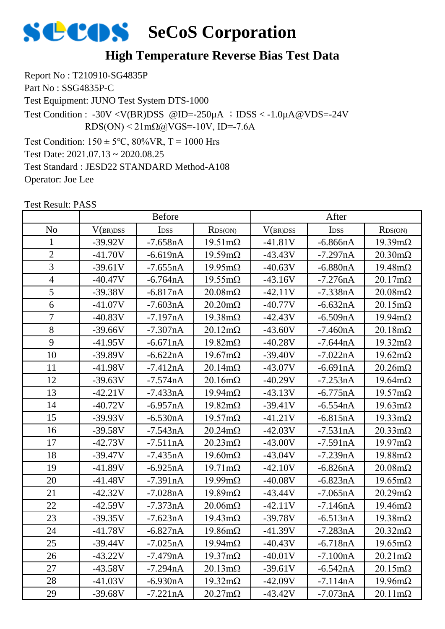

### **High Temperature Reverse Bias Test Data**

Report No : T210910-SG4835P Part No : SSG4835P-C Test Equipment: JUNO Test System DTS-1000 Test Condition:  $150 \pm 5^{\circ}$ C,  $80\%$ VR, T = 1000 Hrs Test Date: 2021.07.13 ~ 2020.08.25 Test Standard : JESD22 STANDARD Method-A108 Operator: Joe Lee Test Condition : -30V <V(BR)DSS @ID=-250 $\mu$ A ; IDSS < -1.0 $\mu$ A@VDS=-24V  $RDS(ON) < 21 \text{m}\Omega$  (a) VGS = -10V, ID = -7.6A

|                |           | <b>Before</b> |                        | After     |             |                        |
|----------------|-----------|---------------|------------------------|-----------|-------------|------------------------|
| N <sub>o</sub> | V(BR)DSS  | <b>IDSS</b>   | RDS(ON)                | V(BR)DSS  | <b>IDSS</b> | RDS(ON)                |
| 1              | $-39.92V$ | $-7.658nA$    | $19.51 \text{m}\Omega$ | $-41.81V$ | $-6.866nA$  | $19.39 \text{m}\Omega$ |
| $\overline{2}$ | $-41.70V$ | $-6.619nA$    | $19.59 \text{m}\Omega$ | $-43.43V$ | $-7.297nA$  | $20.30 \text{m}\Omega$ |
| 3              | $-39.61V$ | $-7.655nA$    | $19.95 \text{m}\Omega$ | $-40.63V$ | $-6.880nA$  | $19.48 \text{m}\Omega$ |
| $\overline{4}$ | $-40.47V$ | $-6.764nA$    | $19.55 \text{m}\Omega$ | $-43.16V$ | $-7.276nA$  | $20.17 \text{m}\Omega$ |
| 5              | $-39.38V$ | $-6.817nA$    | $20.08 \text{m}\Omega$ | $-42.11V$ | $-7.338nA$  | $20.08 \text{m}\Omega$ |
| 6              | $-41.07V$ | $-7.603nA$    | $20.20 \text{m}\Omega$ | $-40.77V$ | $-6.632nA$  | $20.15 \text{m}\Omega$ |
| 7              | $-40.83V$ | $-7.197nA$    | $19.38 \text{m}\Omega$ | $-42.43V$ | $-6.509nA$  | $19.94 \text{m}\Omega$ |
| 8              | $-39.66V$ | $-7.307nA$    | $20.12 \text{m}\Omega$ | $-43.60V$ | $-7.460nA$  | $20.18 \text{m}\Omega$ |
| 9              | $-41.95V$ | $-6.671nA$    | $19.82 \text{m}\Omega$ | $-40.28V$ | $-7.644nA$  | $19.32 \text{m}\Omega$ |
| 10             | $-39.89V$ | $-6.622nA$    | $19.67 \text{m}\Omega$ | $-39.40V$ | $-7.022nA$  | $19.62 \text{m}\Omega$ |
| 11             | $-41.98V$ | $-7.412nA$    | $20.14 \text{m}\Omega$ | $-43.07V$ | $-6.691nA$  | $20.26 \text{m}\Omega$ |
| 12             | $-39.63V$ | $-7.574nA$    | $20.16 \text{m}\Omega$ | $-40.29V$ | $-7.253nA$  | $19.64 \text{m}\Omega$ |
| 13             | $-42.21V$ | $-7.433nA$    | $19.94 \text{m}\Omega$ | $-43.13V$ | $-6.775nA$  | $19.57 \text{m}\Omega$ |
| 14             | $-40.72V$ | $-6.957nA$    | $19.82 \text{m}\Omega$ | $-39.41V$ | $-6.554nA$  | $19.63 \text{m}\Omega$ |
| 15             | $-39.93V$ | $-6.530nA$    | $19.57 \text{m}\Omega$ | $-41.21V$ | $-6.815nA$  | $19.33 \text{mA}$      |
| 16             | $-39.58V$ | $-7.543nA$    | $20.24 \text{m}\Omega$ | $-42.03V$ | $-7.531nA$  | $20.33 \text{mA}$      |
| 17             | $-42.73V$ | $-7.511nA$    | $20.23 \text{mA}$      | $-43.00V$ | $-7.591nA$  | $19.97 \text{m}\Omega$ |
| 18             | $-39.47V$ | $-7.435nA$    | $19.60 \text{m}\Omega$ | $-43.04V$ | $-7.239nA$  | $19.88 \text{m}\Omega$ |
| 19             | $-41.89V$ | $-6.925nA$    | $19.71 \text{m}\Omega$ | $-42.10V$ | $-6.826nA$  | $20.08 \text{m}\Omega$ |
| 20             | $-41.48V$ | $-7.391nA$    | $19.99 \text{mA}$      | $-40.08V$ | $-6.823nA$  | $19.65 \text{m}\Omega$ |
| 21             | $-42.32V$ | $-7.028nA$    | $19.89 \text{m}\Omega$ | $-43.44V$ | $-7.065nA$  | $20.29 \text{m}\Omega$ |
| 22             | $-42.59V$ | $-7.373nA$    | $20.06 \text{m}\Omega$ | $-42.11V$ | $-7.146nA$  | $19.46 \text{m}\Omega$ |
| 23             | $-39.35V$ | $-7.623nA$    | $19.43 \text{m}\Omega$ | $-39.78V$ | $-6.513nA$  | $19.38 \text{m}\Omega$ |
| 24             | $-41.78V$ | $-6.827nA$    | $19.86 \text{m}\Omega$ | $-41.39V$ | $-7.283nA$  | $20.32 \text{m}\Omega$ |
| 25             | -39.44V   | $-7.025nA$    | $19.94 \text{m}\Omega$ | -40.43V   | $-6.718nA$  | $19.65 \text{m}\Omega$ |
| 26             | $-43.22V$ | $-7.479nA$    | $19.37 \text{m}\Omega$ | $-40.01V$ | $-7.100nA$  | $20.21 \text{m}\Omega$ |
| 27             | $-43.58V$ | $-7.294nA$    | $20.13 \text{m}\Omega$ | $-39.61V$ | $-6.542nA$  | $20.15 \text{m}\Omega$ |
| 28             | $-41.03V$ | $-6.930nA$    | $19.32 \text{m}\Omega$ | $-42.09V$ | $-7.114nA$  | $19.96 \text{m}\Omega$ |
| 29             | $-39.68V$ | $-7.221nA$    | $20.27 \text{m}\Omega$ | $-43.42V$ | $-7.073nA$  | $20.11 \text{m}\Omega$ |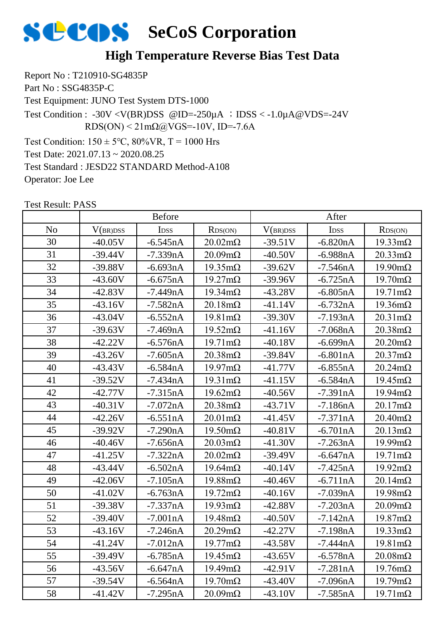

### **High Temperature Reverse Bias Test Data**

Report No : T210910-SG4835P Part No : SSG4835P-C Test Equipment: JUNO Test System DTS-1000 Test Condition:  $150 \pm 5^{\circ}$ C,  $80\%$ VR, T = 1000 Hrs Test Date: 2021.07.13 ~ 2020.08.25 Test Standard : JESD22 STANDARD Method-A108 Operator: Joe Lee Test Condition : -30V <V(BR)DSS @ID=-250 $\mu$ A ; IDSS < -1.0 $\mu$ A@VDS=-24V  $RDS(ON) < 21 \text{m}\Omega$  (a) VGS = -10V, ID = -7.6A

|                |           | <b>Before</b>    |                        | After     |                  |                        |
|----------------|-----------|------------------|------------------------|-----------|------------------|------------------------|
| N <sub>0</sub> | V(BR)DSS  | I <sub>DSS</sub> | RDS(ON)                | V(BR)DSS  | I <sub>DSS</sub> | RDS(ON)                |
| 30             | $-40.05V$ | $-6.545nA$       | $20.02 \text{m}\Omega$ | $-39.51V$ | $-6.820nA$       | $19.33 \text{mA}$      |
| 31             | $-39.44V$ | $-7.339nA$       | $20.09 \text{m}\Omega$ | $-40.50V$ | $-6.988nA$       | $20.33 \text{mA}$      |
| 32             | $-39.88V$ | $-6.693nA$       | $19.35 \text{m}\Omega$ | $-39.62V$ | $-7.546nA$       | $19.90 \text{mA}$      |
| 33             | $-43.60V$ | $-6.675nA$       | $19.27 \text{m}\Omega$ | $-39.96V$ | $-6.725nA$       | $19.70 \text{m}\Omega$ |
| 34             | $-42.83V$ | $-7.449nA$       | $19.34 \text{m}\Omega$ | $-43.28V$ | $-6.805nA$       | $19.71 \text{m}\Omega$ |
| 35             | $-43.16V$ | $-7.582nA$       | $20.18 \text{m}\Omega$ | $-41.14V$ | $-6.732nA$       | $19.36 \text{m}\Omega$ |
| 36             | $-43.04V$ | $-6.552nA$       | $19.81 \text{m}\Omega$ | $-39.30V$ | $-7.193nA$       | $20.31 \text{m}\Omega$ |
| 37             | $-39.63V$ | $-7.469nA$       | $19.52 \text{m}\Omega$ | $-41.16V$ | $-7.068nA$       | $20.38 \text{m}\Omega$ |
| 38             | $-42.22V$ | $-6.576nA$       | $19.71 \text{m}\Omega$ | $-40.18V$ | $-6.699nA$       | $20.20 \text{m}\Omega$ |
| 39             | $-43.26V$ | $-7.605nA$       | $20.38 \text{m}\Omega$ | $-39.84V$ | $-6.801nA$       | $20.37 \text{m}\Omega$ |
| 40             | $-43.43V$ | $-6.584nA$       | $19.97 \text{m}\Omega$ | $-41.77V$ | $-6.855nA$       | $20.24 \text{m}\Omega$ |
| 41             | $-39.52V$ | $-7.434nA$       | $19.31 \text{m}\Omega$ | $-41.15V$ | $-6.584nA$       | $19.45 \text{m}\Omega$ |
| 42             | $-42.77V$ | $-7.315nA$       | $19.62 \text{m}\Omega$ | $-40.56V$ | $-7.391nA$       | $19.94 \text{m}\Omega$ |
| 43             | $-40.31V$ | $-7.072nA$       | $20.38 \text{m}\Omega$ | $-43.71V$ | $-7.186nA$       | $20.17 \text{m}\Omega$ |
| 44             | $-42.26V$ | $-6.551nA$       | $20.01 \text{m}\Omega$ | $-41.45V$ | $-7.371nA$       | $20.40 \text{m}\Omega$ |
| 45             | $-39.92V$ | $-7.290nA$       | $19.50 \text{m}\Omega$ | $-40.81V$ | $-6.701nA$       | $20.13 \text{m}\Omega$ |
| 46             | $-40.46V$ | $-7.656nA$       | $20.03 \text{m}\Omega$ | $-41.30V$ | $-7.263nA$       | $19.99 \text{mA}$      |
| 47             | $-41.25V$ | $-7.322nA$       | $20.02 \text{m}\Omega$ | $-39.49V$ | $-6.647nA$       | $19.71 \text{m}\Omega$ |
| 48             | $-43.44V$ | $-6.502nA$       | $19.64 \text{m}\Omega$ | $-40.14V$ | $-7.425nA$       | $19.92 \text{m}\Omega$ |
| 49             | $-42.06V$ | $-7.105nA$       | $19.88 \text{m}\Omega$ | $-40.46V$ | $-6.711nA$       | $20.14 \text{m}\Omega$ |
| 50             | $-41.02V$ | $-6.763nA$       | $19.72 \text{m}\Omega$ | $-40.16V$ | $-7.039nA$       | $19.98 \text{m}\Omega$ |
| 51             | $-39.38V$ | $-7.337nA$       | $19.93 \text{mA}$      | $-42.88V$ | $-7.203nA$       | $20.09 \text{m}\Omega$ |
| 52             | $-39.40V$ | $-7.001nA$       | $19.48 \text{m}\Omega$ | $-40.50V$ | $-7.142nA$       | $19.87 \text{m}\Omega$ |
| 53             | $-43.16V$ | $-7.246nA$       | $20.29 \text{m}\Omega$ | $-42.27V$ | $-7.198nA$       | $19.33 \text{mA}$      |
| 54             | $-41.24V$ | $-7.012nA$       | $19.77 \text{mA}$      | $-43.58V$ | $-7.444nA$       | $19.81 \text{m}\Omega$ |
| 55             | $-39.49V$ | $-6.785nA$       | $19.45 \text{m}\Omega$ | $-43.65V$ | $-6.578nA$       | $20.08 \text{m}\Omega$ |
| 56             | $-43.56V$ | $-6.647nA$       | $19.49 \text{m}\Omega$ | $-42.91V$ | $-7.281nA$       | $19.76 \text{m}\Omega$ |
| 57             | $-39.54V$ | $-6.564nA$       | $19.70 \text{m}\Omega$ | $-43.40V$ | $-7.096nA$       | $19.79 \text{m}\Omega$ |
| 58             | $-41.42V$ | $-7.295nA$       | $20.09m\Omega$         | $-43.10V$ | $-7.585nA$       | $19.71 \text{m}\Omega$ |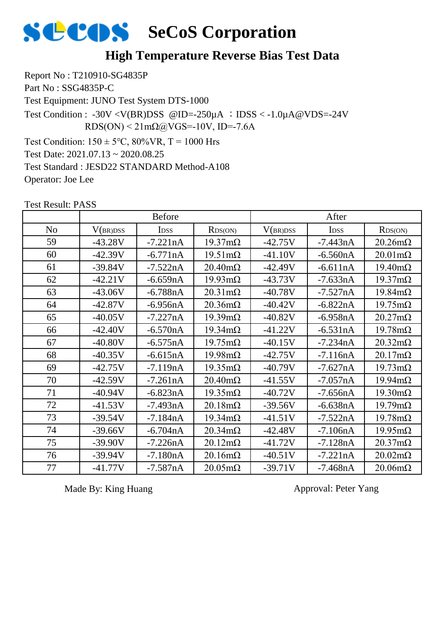

### **High Temperature Reverse Bias Test Data**

Report No : T210910-SG4835P Part No : SSG4835P-C Test Equipment: JUNO Test System DTS-1000 Test Condition:  $150 \pm 5^{\circ}$ C,  $80\%$ VR, T = 1000 Hrs Test Date: 2021.07.13 ~ 2020.08.25 Test Standard : JESD22 STANDARD Method-A108 Operator: Joe Lee Test Condition : -30V <V(BR)DSS @ID=-250µA ; IDSS < -1.0µA@VDS=-24V  $RDS(ON) < 21 \text{mA}$  $QQVGS = -10V$ , ID=-7.6A

Test Result: PASS No | V(br)dss | Idss | Rds(on) | V(br)dss | Idss | Rds(on) Before After 59 | -43.28V | -7.221nA | 19.37mΩ | -42.75V | -7.443nA | 20.26mΩ -42.39V -6.771nA 19.51mΩ -41.10V -6.560nA 20.01mΩ -39.84V -7.522nA 20.40mΩ -42.49V -6.611nA 19.40mΩ 62 | -42.21V | -6.659nA | 19.93mΩ | -43.73V | -7.633nA | 19.37mΩ 63 | -43.06V | -6.788nA | 20.31mΩ | -40.78V | -7.527nA | 19.84mΩ -42.87V -6.956nA 20.36mΩ -40.42V -6.822nA 19.75mΩ -40.05V -7.227nA 19.39mΩ -40.82V -6.958nA 20.27mΩ -42.40V -6.570nA 19.34mΩ -41.22V -6.531nA 19.78mΩ -40.80V -6.575nA 19.75mΩ -40.15V -7.234nA 20.32mΩ -40.35V -6.615nA 19.98mΩ -42.75V -7.116nA 20.17mΩ 69 | -42.75V | -7.119nA | 19.35m $\Omega$  | -40.79V | -7.627nA | 19.73m $\Omega$  -42.59V -7.261nA 20.40mΩ -41.55V -7.057nA 19.94mΩ -40.94V -6.823nA 19.35mΩ -40.72V -7.656nA 19.30mΩ -41.53V -7.493nA 20.18mΩ -39.56V -6.638nA 19.79mΩ -39.54V -7.184nA 19.34mΩ -41.51V -7.522nA 19.78mΩ -39.66V -6.704nA 20.34mΩ -42.48V -7.106nA 19.95mΩ -39.90V -7.226nA 20.12mΩ -41.72V -7.128nA 20.37mΩ 76 | -39.94V | -7.180nA | 20.16mΩ | -40.51V | -7.221nA | 20.02mΩ -41.77V -7.587nA 20.05mΩ -39.71V -7.468nA 20.06mΩ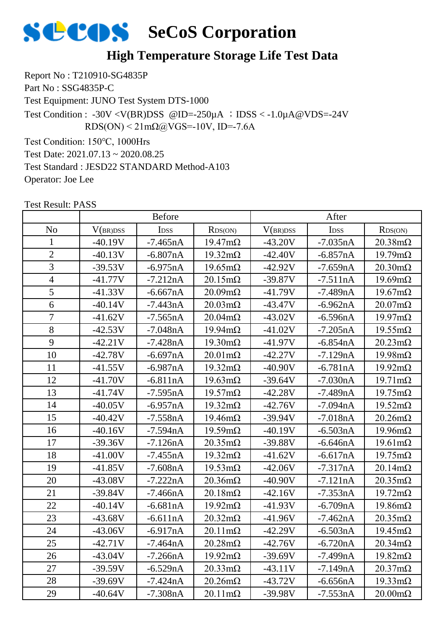

### **High Temperature Storage Life Test Data**

Report No : T210910-SG4835P Part No : SSG4835P-C Test Equipment: JUNO Test System DTS-1000 Test Condition :  $-30V < V(BR)DSS$  @ID= $-250\mu A$  ; IDSS  $< -1.0\mu A$  @VDS= $-24V$ 

 $RDS(ON) < 21 \text{m}\Omega$ @VGS=-10V, ID=-7.6A

Test Condition: 150℃, 1000Hrs

Test Date: 2021.07.13 ~ 2020.08.25

Test Standard : JESD22 STANDARD Method-A103

Operator: Joe Lee

| <b>Test Result: PASS</b> |  |
|--------------------------|--|
|--------------------------|--|

|                          |           | <b>Before</b>    |                        | After     |                  |                        |
|--------------------------|-----------|------------------|------------------------|-----------|------------------|------------------------|
| N <sub>o</sub>           | V(BR)DSS  | I <sub>DSS</sub> | RDS(ON)                | V(BR)DSS  | I <sub>DSS</sub> | RDS(ON)                |
| $\mathbf{1}$             | $-40.19V$ | $-7.465nA$       | $19.47 \text{m}\Omega$ | $-43.20V$ | $-7.035nA$       | $20.38 \text{m}\Omega$ |
| $\overline{2}$           | $-40.13V$ | $-6.807nA$       | $19.32 \text{m}\Omega$ | $-42.40V$ | $-6.857nA$       | $19.79 \text{m}\Omega$ |
| $\overline{3}$           | $-39.53V$ | $-6.975nA$       | $19.65 \text{m}\Omega$ | $-42.92V$ | $-7.659nA$       | $20.30 \text{m}\Omega$ |
| $\overline{\mathcal{A}}$ | $-41.77V$ | $-7.212nA$       | $20.15 \text{m}\Omega$ | $-39.87V$ | $-7.511nA$       | $19.69 \text{m}\Omega$ |
| 5                        | $-41.33V$ | $-6.667nA$       | $20.09 \text{m}\Omega$ | $-41.79V$ | $-7.489nA$       | $19.67 \text{m}\Omega$ |
| $\overline{6}$           | $-40.14V$ | $-7.443nA$       | $20.03 \text{m}\Omega$ | $-43.47V$ | $-6.962nA$       | $20.07 \text{m}\Omega$ |
| $\overline{7}$           | $-41.62V$ | $-7.565nA$       | $20.04 \text{m}\Omega$ | $-43.02V$ | $-6.596nA$       | $19.97 \text{m}\Omega$ |
| 8                        | $-42.53V$ | $-7.048nA$       | $19.94 \text{m}\Omega$ | $-41.02V$ | $-7.205nA$       | $19.55 \text{mA}$      |
| 9                        | $-42.21V$ | $-7.428nA$       | $19.30 \text{m}\Omega$ | $-41.97V$ | $-6.854nA$       | $20.23 \text{m}\Omega$ |
| 10                       | $-42.78V$ | $-6.697nA$       | $20.01 \text{m}\Omega$ | $-42.27V$ | $-7.129nA$       | $19.98 \text{m}\Omega$ |
| 11                       | $-41.55V$ | $-6.987nA$       | $19.32 \text{m}\Omega$ | $-40.90V$ | $-6.781nA$       | $19.92 \text{m}\Omega$ |
| 12                       | $-41.70V$ | $-6.811nA$       | $19.63 \text{m}\Omega$ | $-39.64V$ | $-7.030nA$       | $19.71 \text{m}\Omega$ |
| 13                       | $-41.74V$ | $-7.595nA$       | $19.57 \text{m}\Omega$ | $-42.28V$ | $-7.489nA$       | $19.75 \text{m}\Omega$ |
| 14                       | $-40.05V$ | $-6.957nA$       | $19.32 \text{m}\Omega$ | $-42.76V$ | $-7.094nA$       | $19.52 \text{m}\Omega$ |
| 15                       | $-40.42V$ | $-7.558nA$       | $19.46 \text{m}\Omega$ | $-39.94V$ | $-7.018nA$       | $20.26 \text{m}\Omega$ |
| 16                       | $-40.16V$ | $-7.594nA$       | $19.59 \text{m}\Omega$ | $-40.19V$ | $-6.503nA$       | $19.96 \text{m}\Omega$ |
| 17                       | $-39.36V$ | $-7.126nA$       | $20.35 \text{m}\Omega$ | $-39.88V$ | $-6.646nA$       | $19.61 \text{m}\Omega$ |
| 18                       | $-41.00V$ | $-7.455nA$       | $19.32 \text{m}\Omega$ | $-41.62V$ | $-6.617nA$       | $19.75 \text{m}\Omega$ |
| 19                       | $-41.85V$ | $-7.608nA$       | $19.53 \text{mA}$      | $-42.06V$ | $-7.317nA$       | $20.14 \text{m}\Omega$ |
| 20                       | $-43.08V$ | $-7.222nA$       | $20.36 \text{m}\Omega$ | $-40.90V$ | $-7.121nA$       | $20.35 \text{m}\Omega$ |
| 21                       | $-39.84V$ | $-7.466nA$       | $20.18 \text{m}\Omega$ | $-42.16V$ | $-7.353nA$       | $19.72 \text{m}\Omega$ |
| 22                       | $-40.14V$ | $-6.681nA$       | $19.92 \text{m}\Omega$ | $-41.93V$ | $-6.709nA$       | $19.86 \text{m}\Omega$ |
| 23                       | $-43.68V$ | $-6.611nA$       | $20.32 \text{m}\Omega$ | $-41.96V$ | $-7.462nA$       | $20.35 \text{m}\Omega$ |
| 24                       | $-43.06V$ | $-6.917nA$       | $20.11 \text{m}\Omega$ | $-42.29V$ | $-6.503nA$       | $19.45 \text{m}\Omega$ |
| 25                       | $-42.71V$ | $-7.464nA$       | $20.28 \text{m}\Omega$ | $-42.76V$ | $-6.720nA$       | $20.34 \text{m}\Omega$ |
| 26                       | $-43.04V$ | $-7.266nA$       | $19.92 \text{m}\Omega$ | $-39.69V$ | $-7.499nA$       | $19.82 \text{m}\Omega$ |
| 27                       | $-39.59V$ | $-6.529nA$       | $20.33 \text{m}\Omega$ | $-43.11V$ | $-7.149nA$       | $20.37 \text{m}\Omega$ |
| 28                       | $-39.69V$ | $-7.424nA$       | $20.26 \text{m}\Omega$ | $-43.72V$ | $-6.656nA$       | $19.33 \text{mA}$      |
| 29                       | $-40.64V$ | $-7.308nA$       | $20.11 \text{m}\Omega$ | $-39.98V$ | $-7.553nA$       | $20.00 \text{m}\Omega$ |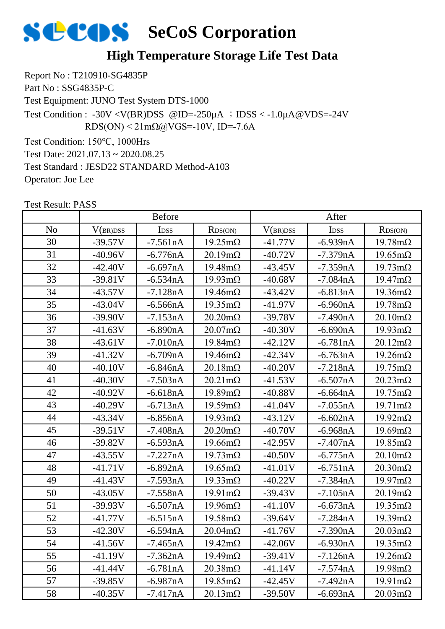

### **High Temperature Storage Life Test Data**

Report No : T210910-SG4835P Part No : SSG4835P-C

Test Equipment: JUNO Test System DTS-1000

Test Condition :  $-30V < V(BR)DSS$  @ID= $-250\mu A$  ; IDSS  $< -1.0\mu A$  @VDS= $-24V$  $RDS(ON) < 21 \text{m}\Omega$ @VGS=-10V, ID=-7.6A

Test Condition: 150℃, 1000Hrs

Test Date: 2021.07.13 ~ 2020.08.25

Test Standard : JESD22 STANDARD Method-A103

Operator: Joe Lee

| <b>Test Result: PASS</b> |  |
|--------------------------|--|
|                          |  |

|                |           | <b>Before</b> |                        | After     |                  |                        |
|----------------|-----------|---------------|------------------------|-----------|------------------|------------------------|
| N <sub>o</sub> | V(BR)DSS  | IDSS          | RDS(ON)                | V(BR)DSS  | I <sub>DSS</sub> | RDS(ON)                |
| 30             | $-39.57V$ | $-7.561nA$    | $19.25 \text{m}\Omega$ | $-41.77V$ | $-6.939nA$       | $19.78 \text{m}\Omega$ |
| 31             | $-40.96V$ | $-6.776nA$    | $20.19 \text{m}\Omega$ | $-40.72V$ | $-7.379nA$       | $19.65 \text{m}\Omega$ |
| 32             | $-42.40V$ | $-6.697nA$    | $19.48 \text{m}\Omega$ | $-43.45V$ | $-7.359nA$       | $19.73 \text{mA}$      |
| 33             | $-39.81V$ | $-6.534nA$    | $19.93 \text{m}\Omega$ | $-40.68V$ | $-7.084nA$       | $19.47 \text{m}\Omega$ |
| 34             | $-43.57V$ | $-7.128nA$    | $19.46 \text{m}\Omega$ | $-43.42V$ | $-6.813nA$       | $19.36 \text{m}\Omega$ |
| 35             | $-43.04V$ | $-6.566nA$    | $19.35 \text{m}\Omega$ | $-41.97V$ | $-6.960nA$       | $19.78 \text{m}\Omega$ |
| 36             | $-39.90V$ | $-7.153nA$    | $20.20 \text{m}\Omega$ | $-39.78V$ | $-7.490nA$       | $20.10 \text{m}\Omega$ |
| 37             | $-41.63V$ | $-6.890nA$    | $20.07 \text{m}\Omega$ | $-40.30V$ | $-6.690nA$       | $19.93 \text{mA}$      |
| 38             | $-43.61V$ | $-7.010nA$    | $19.84 \text{m}\Omega$ | $-42.12V$ | $-6.781nA$       | $20.12 \text{m}\Omega$ |
| 39             | $-41.32V$ | $-6.709nA$    | $19.46 \text{m}\Omega$ | $-42.34V$ | $-6.763nA$       | $19.26 \text{m}\Omega$ |
| 40             | $-40.10V$ | $-6.846nA$    | $20.18 \text{m}\Omega$ | $-40.20V$ | $-7.218nA$       | $19.75 \text{m}\Omega$ |
| 41             | $-40.30V$ | $-7.503nA$    | $20.21 \text{m}\Omega$ | $-41.53V$ | $-6.507nA$       | $20.23 \text{mA}$      |
| 42             | $-40.92V$ | $-6.618nA$    | $19.89 \text{m}\Omega$ | $-40.88V$ | $-6.664nA$       | $19.75 \text{m}\Omega$ |
| 43             | $-40.29V$ | $-6.713nA$    | $19.59 \text{m}\Omega$ | $-41.04V$ | $-7.055nA$       | $19.71 \text{m}\Omega$ |
| 44             | $-43.34V$ | $-6.856nA$    | $19.93 \text{mA}$      | $-43.12V$ | $-6.602nA$       | $19.92 \text{m}\Omega$ |
| 45             | $-39.51V$ | $-7.408nA$    | $20.20 \text{m}\Omega$ | $-40.70V$ | $-6.968nA$       | $19.69 \text{m}\Omega$ |
| 46             | $-39.82V$ | $-6.593nA$    | $19.66 \text{m}\Omega$ | $-42.95V$ | $-7.407nA$       | $19.85 \text{m}\Omega$ |
| 47             | $-43.55V$ | $-7.227nA$    | $19.73 \text{mA}$      | $-40.50V$ | $-6.775nA$       | $20.10 \text{m}\Omega$ |
| 48             | $-41.71V$ | $-6.892nA$    | $19.65 \text{m}\Omega$ | $-41.01V$ | $-6.751nA$       | $20.30 \text{m}\Omega$ |
| 49             | $-41.43V$ | $-7.593nA$    | $19.33 \text{mA}$      | $-40.22V$ | $-7.384nA$       | $19.97 \text{mA}$      |
| 50             | $-43.05V$ | $-7.558nA$    | $19.91 \text{m}\Omega$ | $-39.43V$ | $-7.105nA$       | $20.19 \text{m}\Omega$ |
| 51             | $-39.93V$ | $-6.507nA$    | $19.96 \text{m}\Omega$ | $-41.10V$ | $-6.673nA$       | $19.35 \text{m}\Omega$ |
| 52             | $-41.77V$ | $-6.515nA$    | $19.58 \text{m}\Omega$ | $-39.64V$ | $-7.284nA$       | $19.39 \text{m}\Omega$ |
| 53             | $-42.30V$ | $-6.594nA$    | $20.04 \text{m}\Omega$ | $-41.76V$ | $-7.390nA$       | $20.03 \text{m}\Omega$ |
| 54             | $-41.56V$ | $-7.465nA$    | $19.42 \text{m}\Omega$ | $-42.06V$ | $-6.930nA$       | $19.35 \text{m}\Omega$ |
| 55             | $-41.19V$ | $-7.362nA$    | $19.49 \text{m}\Omega$ | $-39.41V$ | $-7.126nA$       | $19.26 \text{m}\Omega$ |
| 56             | $-41.44V$ | $-6.781nA$    | $20.38 \text{m}\Omega$ | $-41.14V$ | $-7.574nA$       | $19.98 \text{m}\Omega$ |
| 57             | $-39.85V$ | $-6.987nA$    | $19.85 \text{m}\Omega$ | $-42.45V$ | $-7.492nA$       | $19.91 \text{m}\Omega$ |
| 58             | $-40.35V$ | $-7.417nA$    | $20.13 \text{m}\Omega$ | $-39.50V$ | $-6.693nA$       | $20.03 \text{m}\Omega$ |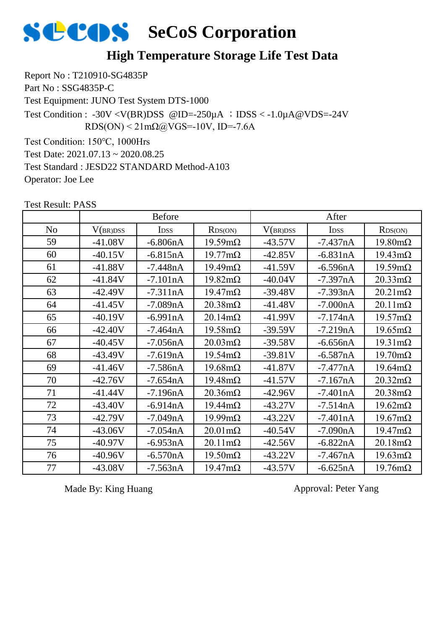

### **High Temperature Storage Life Test Data**

Report No : T210910-SG4835P Part No : SSG4835P-C Test Equipment: JUNO Test System DTS-1000 Test Condition: 150℃, 1000Hrs Test Date: 2021.07.13 ~ 2020.08.25 Test Condition : -30V <V(BR)DSS @ID=-250 $\mu$ A ; IDSS < -1.0 $\mu$ A@VDS=-24V  $RDS(ON) < 21 \text{m}\Omega$  (a) VGS = -10V, ID = -7.6A

Test Standard : JESD22 STANDARD Method-A103

Operator: Joe Lee

|                |           | <b>Before</b>    |                        | After     |                  |                        |  |
|----------------|-----------|------------------|------------------------|-----------|------------------|------------------------|--|
| N <sub>o</sub> | V(BR)DSS  | I <sub>DSS</sub> | RDS(ON)                | V(BR)DSS  | I <sub>DSS</sub> | RDS(ON)                |  |
| 59             | $-41.08V$ | $-6.806nA$       | $19.59 \text{m}\Omega$ | $-43.57V$ | $-7.437nA$       | $19.80 \text{m}\Omega$ |  |
| 60             | $-40.15V$ | $-6.815nA$       | $19.77 \text{mA}$      | $-42.85V$ | $-6.831nA$       | $19.43 \text{m}\Omega$ |  |
| 61             | $-41.88V$ | $-7.448nA$       | $19.49 \text{m}\Omega$ | $-41.59V$ | $-6.596nA$       | $19.59 \text{m}\Omega$ |  |
| 62             | $-41.84V$ | $-7.101nA$       | $19.82 \text{m}\Omega$ | $-40.04V$ | $-7.397nA$       | $20.33 \text{mA}$      |  |
| 63             | $-42.49V$ | $-7.311nA$       | $19.47 \text{m}\Omega$ | $-39.48V$ | $-7.393nA$       | $20.21 \text{m}\Omega$ |  |
| 64             | $-41.45V$ | $-7.089nA$       | $20.38 \text{m}\Omega$ | $-41.48V$ | $-7.000nA$       | $20.11 \text{m}\Omega$ |  |
| 65             | $-40.19V$ | $-6.991nA$       | $20.14 \text{m}\Omega$ | $-41.99V$ | $-7.174nA$       | $19.57 \text{m}\Omega$ |  |
| 66             | $-42.40V$ | $-7.464nA$       | $19.58 \text{m}\Omega$ | $-39.59V$ | $-7.219nA$       | $19.65 \text{m}\Omega$ |  |
| 67             | $-40.45V$ | $-7.056nA$       | $20.03 \text{m}\Omega$ | $-39.58V$ | $-6.656nA$       | $19.31 \text{m}\Omega$ |  |
| 68             | $-43.49V$ | $-7.619nA$       | $19.54 \text{m}\Omega$ | $-39.81V$ | $-6.587nA$       | $19.70 \text{m}\Omega$ |  |
| 69             | $-41.46V$ | $-7.586nA$       | $19.68 \text{m}\Omega$ | $-41.87V$ | $-7.477nA$       | $19.64 \text{m}\Omega$ |  |
| 70             | $-42.76V$ | $-7.654nA$       | $19.48 \text{m}\Omega$ | $-41.57V$ | $-7.167nA$       | $20.32 \text{m}\Omega$ |  |
| 71             | $-41.44V$ | $-7.196nA$       | $20.36 \text{m}\Omega$ | $-42.96V$ | $-7.401nA$       | $20.38 \text{m}\Omega$ |  |
| 72             | $-43.40V$ | $-6.914nA$       | $19.44 \text{m}\Omega$ | $-43.27V$ | $-7.514nA$       | $19.62 \text{m}\Omega$ |  |
| 73             | $-42.79V$ | $-7.049nA$       | $19.99 \text{mA}$      | $-43.22V$ | $-7.401nA$       | $19.67 \text{m}\Omega$ |  |
| 74             | $-43.06V$ | $-7.054nA$       | $20.01 \text{m}\Omega$ | $-40.54V$ | $-7.090nA$       | $19.47 \text{m}\Omega$ |  |
| 75             | $-40.97V$ | $-6.953nA$       | $20.11 \text{m}\Omega$ | $-42.56V$ | $-6.822nA$       | $20.18 \text{m}\Omega$ |  |
| 76             | $-40.96V$ | $-6.570nA$       | $19.50 \text{m}\Omega$ | $-43.22V$ | $-7.467nA$       | $19.63 \text{mA}$      |  |
| 77             | $-43.08V$ | $-7.563nA$       | $19.47 \text{m}\Omega$ | $-43.57V$ | $-6.625nA$       | $19.76 \text{m}\Omega$ |  |

Test Result: PASS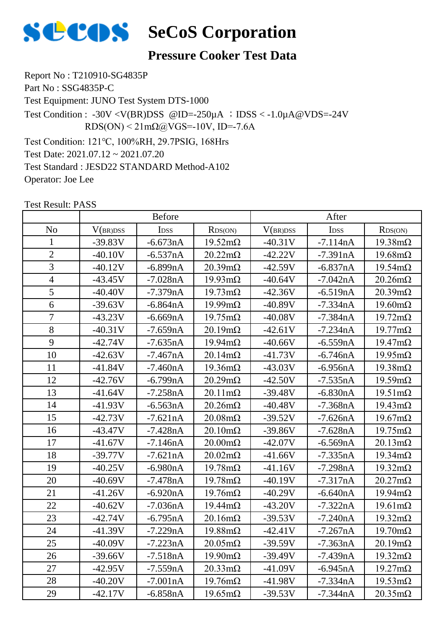

### **Pressure Cooker Test Data**

Report No : T210910-SG4835P Part No : SSG4835P-C Test Equipment: JUNO Test System DTS-1000 Test Condition: 121℃, 100%RH, 29.7PSIG, 168Hrs Test Date: 2021.07.12 ~ 2021.07.20 Test Standard : JESD22 STANDARD Method-A102 Operator: Joe Lee Test Condition : -30V <V(BR)DSS @ID=-250 $\mu$ A ; IDSS < -1.0 $\mu$ A@VDS=-24V  $RDS(ON) < 21 \text{m}\Omega$ @VGS=-10V, ID=-7.6A

|                |           | <b>Before</b>    |                        | After     |                  |                        |
|----------------|-----------|------------------|------------------------|-----------|------------------|------------------------|
| N <sub>o</sub> | V(BR)DSS  | I <sub>DSS</sub> | RDS(ON)                | V(BR)DSS  | I <sub>DSS</sub> | RDS(ON)                |
| $\mathbf{1}$   | $-39.83V$ | $-6.673nA$       | $19.52 \text{m}\Omega$ | $-40.31V$ | $-7.114nA$       | $19.38 \text{m}\Omega$ |
| $\overline{2}$ | $-40.10V$ | $-6.537nA$       | $20.22 \text{m}\Omega$ | $-42.22V$ | $-7.391nA$       | $19.68 \text{m}\Omega$ |
| $\overline{3}$ | $-40.12V$ | $-6.899nA$       | $20.39 \text{m}\Omega$ | $-42.59V$ | $-6.837nA$       | $19.54 \text{m}\Omega$ |
| $\overline{4}$ | $-43.45V$ | $-7.028nA$       | $19.93 \text{mA}$      | $-40.64V$ | $-7.042nA$       | $20.26 \text{m}\Omega$ |
| 5              | $-40.40V$ | $-7.379nA$       | $19.73 \text{mA}$      | $-42.36V$ | $-6.519nA$       | $20.39 \text{m}\Omega$ |
| 6              | $-39.63V$ | $-6.864nA$       | $19.99 \text{mA}$      | $-40.89V$ | $-7.334nA$       | $19.60 \text{m}\Omega$ |
| $\overline{7}$ | $-43.23V$ | $-6.669nA$       | $19.75 \text{m}\Omega$ | $-40.08V$ | $-7.384nA$       | $19.72 \text{m}\Omega$ |
| 8              | $-40.31V$ | $-7.659nA$       | $20.19 \text{m}\Omega$ | $-42.61V$ | $-7.234nA$       | $19.77 \text{m}\Omega$ |
| 9              | $-42.74V$ | $-7.635nA$       | $19.94 \text{m}\Omega$ | $-40.66V$ | $-6.559nA$       | $19.47 \text{m}\Omega$ |
| 10             | $-42.63V$ | $-7.467nA$       | $20.14 \text{m}\Omega$ | $-41.73V$ | $-6.746nA$       | $19.95 \text{m}\Omega$ |
| 11             | -41.84V   | $-7.460nA$       | $19.36 \text{m}\Omega$ | $-43.03V$ | $-6.956nA$       | $19.38 \text{m}\Omega$ |
| 12             | $-42.76V$ | $-6.799nA$       | $20.29 \text{m}\Omega$ | $-42.50V$ | $-7.535nA$       | $19.59 \text{m}\Omega$ |
| 13             | $-41.64V$ | $-7.258nA$       | $20.11 \text{m}\Omega$ | $-39.48V$ | $-6.830nA$       | $19.51 \text{m}\Omega$ |
| 14             | $-41.93V$ | $-6.563nA$       | $20.26 \text{m}\Omega$ | $-40.48V$ | $-7.368nA$       | $19.43 \text{m}\Omega$ |
| 15             | $-42.73V$ | $-7.621nA$       | $20.08 \text{m}\Omega$ | $-39.52V$ | $-7.626nA$       | $19.67 \text{m}\Omega$ |
| 16             | $-43.47V$ | $-7.428nA$       | $20.10 \text{m}\Omega$ | $-39.86V$ | $-7.628nA$       | $19.75 \text{m}\Omega$ |
| 17             | $-41.67V$ | $-7.146nA$       | $20.00 \text{m}\Omega$ | $-42.07V$ | $-6.569nA$       | $20.13 \text{m}\Omega$ |
| 18             | $-39.77V$ | $-7.621nA$       | $20.02 \text{m}\Omega$ | $-41.66V$ | $-7.335nA$       | $19.34 \text{m}\Omega$ |
| 19             | $-40.25V$ | $-6.980nA$       | $19.78 \text{m}\Omega$ | $-41.16V$ | $-7.298nA$       | $19.32 \text{m}\Omega$ |
| 20             | $-40.69V$ | $-7.478nA$       | $19.78 \text{m}\Omega$ | $-40.19V$ | $-7.317nA$       | $20.27 \text{m}\Omega$ |
| 21             | $-41.26V$ | $-6.920nA$       | $19.76 \text{m}\Omega$ | $-40.29V$ | $-6.640nA$       | $19.94 \text{m}\Omega$ |
| 22             | $-40.62V$ | $-7.036nA$       | $19.44 \text{m}\Omega$ | $-43.20V$ | $-7.322nA$       | $19.61 \text{m}\Omega$ |
| 23             | $-42.74V$ | $-6.795nA$       | $20.16 \text{m}\Omega$ | $-39.53V$ | $-7.240nA$       | $19.32 \text{m}\Omega$ |
| 24             | $-41.39V$ | $-7.229nA$       | $19.88 \text{m}\Omega$ | $-42.41V$ | $-7.267nA$       | $19.70 \text{m}\Omega$ |
| 25             | $-40.09V$ | $-7.223nA$       | $20.05 \text{m}\Omega$ | $-39.59V$ | $-7.363nA$       | $20.19 \text{m}\Omega$ |
| 26             | $-39.66V$ | $-7.518nA$       | $19.90 \text{mA}$      | $-39.49V$ | $-7.439nA$       | $19.32 \text{m}\Omega$ |
| 27             | $-42.95V$ | $-7.559nA$       | $20.33 \text{mA}$      | $-41.09V$ | $-6.945nA$       | $19.27 \text{m}\Omega$ |
| 28             | $-40.20V$ | $-7.001nA$       | $19.76 \text{m}\Omega$ | $-41.98V$ | $-7.334nA$       | $19.53 \text{mA}$      |
| 29             | $-42.17V$ | $-6.858nA$       | $19.65 \text{m}\Omega$ | $-39.53V$ | $-7.344nA$       | $20.35 \text{m}\Omega$ |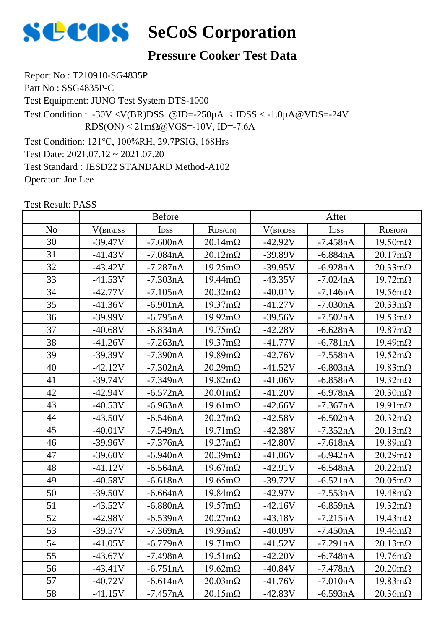

### **Pressure Cooker Test Data**

Report No : T210910-SG4835P Part No : SSG4835P-C Test Equipment: JUNO Test System DTS-1000 Test Condition: 121℃, 100%RH, 29.7PSIG, 168Hrs Test Date: 2021.07.12 ~ 2021.07.20 Test Standard : JESD22 STANDARD Method-A102 Operator: Joe Lee Test Condition : -30V <V(BR)DSS @ID=-250 $\mu$ A ; IDSS < -1.0 $\mu$ A@VDS=-24V  $RDS(ON) < 21 \text{m}\Omega$ @VGS=-10V, ID=-7.6A

|                |           | <b>Before</b>    |                        | After     |            |                        |
|----------------|-----------|------------------|------------------------|-----------|------------|------------------------|
| N <sub>o</sub> | V(BR)DSS  | I <sub>DSS</sub> | RDS(ON)                | V(BR)DSS  | IDSS       | RDS(ON)                |
| 30             | $-39.47V$ | $-7.600nA$       | $20.14 \text{m}\Omega$ | $-42.92V$ | $-7.458nA$ | $19.50 \text{m}\Omega$ |
| 31             | $-41.43V$ | $-7.084nA$       | $20.12 \text{m}\Omega$ | $-39.89V$ | $-6.884nA$ | $20.17 \text{m}\Omega$ |
| 32             | $-43.42V$ | $-7.287nA$       | $19.25 \text{m}\Omega$ | $-39.95V$ | $-6.928nA$ | $20.33 \text{mA}$      |
| 33             | $-41.53V$ | $-7.303nA$       | $19.44 \text{m}\Omega$ | $-43.35V$ | $-7.024nA$ | $19.72 \text{m}\Omega$ |
| 34             | $-42.77V$ | $-7.105nA$       | $20.32 \text{m}\Omega$ | $-40.01V$ | $-7.146nA$ | $19.56 \text{m}\Omega$ |
| 35             | $-41.36V$ | $-6.901nA$       | $19.37 \text{m}\Omega$ | $-41.27V$ | $-7.030nA$ | $20.33 \text{mA}$      |
| 36             | $-39.99V$ | $-6.795nA$       | $19.92 \text{m}\Omega$ | $-39.56V$ | $-7.502nA$ | $19.53 \text{mA}$      |
| 37             | $-40.68V$ | $-6.834nA$       | $19.75 \text{m}\Omega$ | $-42.28V$ | $-6.628nA$ | $19.87 \text{m}\Omega$ |
| 38             | $-41.26V$ | $-7.263nA$       | $19.37 \text{m}\Omega$ | $-41.77V$ | $-6.781nA$ | $19.49 \text{m}\Omega$ |
| 39             | $-39.39V$ | $-7.390nA$       | $19.89 \text{m}\Omega$ | $-42.76V$ | $-7.558nA$ | $19.52 \text{m}\Omega$ |
| 40             | $-42.12V$ | $-7.302nA$       | $20.29 \text{m}\Omega$ | $-41.52V$ | $-6.803nA$ | $19.83 \text{mA}$      |
| 41             | $-39.74V$ | $-7.349nA$       | $19.82 \text{m}\Omega$ | $-41.06V$ | $-6.858nA$ | $19.32 \text{m}\Omega$ |
| 42             | $-42.94V$ | $-6.572nA$       | $20.01 \text{m}\Omega$ | $-41.20V$ | $-6.978nA$ | $20.30 \text{m}\Omega$ |
| 43             | $-40.53V$ | $-6.963nA$       | $19.61 \text{m}\Omega$ | $-42.66V$ | $-7.367nA$ | $19.91 \text{m}\Omega$ |
| 44             | $-43.50V$ | $-6.546nA$       | $20.27 \text{m}\Omega$ | $-42.58V$ | $-6.502nA$ | $20.32 \text{m}\Omega$ |
| 45             | $-40.01V$ | $-7.549nA$       | $19.71 \text{m}\Omega$ | $-42.38V$ | $-7.352nA$ | $20.13 \text{m}\Omega$ |
| 46             | $-39.96V$ | $-7.376nA$       | $19.27 \text{m}\Omega$ | $-42.80V$ | $-7.618nA$ | $19.89 \text{m}\Omega$ |
| 47             | $-39.60V$ | $-6.940nA$       | $20.39 \text{m}\Omega$ | $-41.06V$ | $-6.942nA$ | $20.29 \text{m}\Omega$ |
| 48             | $-41.12V$ | $-6.564nA$       | $19.67 \text{m}\Omega$ | $-42.91V$ | $-6.548nA$ | $20.22 \text{m}\Omega$ |
| 49             | $-40.58V$ | $-6.618nA$       | $19.65 \text{m}\Omega$ | $-39.72V$ | $-6.521nA$ | $20.05 \text{m}\Omega$ |
| 50             | $-39.50V$ | $-6.664nA$       | $19.84 \text{m}\Omega$ | $-42.97V$ | $-7.553nA$ | $19.48 \text{m}\Omega$ |
| 51             | $-43.52V$ | $-6.880nA$       | $19.57 \text{m}\Omega$ | $-42.16V$ | $-6.859nA$ | $19.32 \text{m}\Omega$ |
| 52             | $-42.98V$ | $-6.539nA$       | $20.27 \text{m}\Omega$ | $-43.18V$ | $-7.215nA$ | $19.43 \text{m}\Omega$ |
| 53             | $-39.57V$ | $-7.369nA$       | $19.93 \text{mA}$      | $-40.09V$ | $-7.450nA$ | $19.46 \text{m}\Omega$ |
| 54             | $-41.05V$ | $-6.779nA$       | $19.71 \text{m}\Omega$ | $-41.52V$ | $-7.291nA$ | $20.13 \text{m}\Omega$ |
| 55             | $-43.67V$ | $-7.498nA$       | $19.51 \text{m}\Omega$ | $-42.20V$ | $-6.748nA$ | $19.76 \text{m}\Omega$ |
| 56             | $-43.41V$ | $-6.751nA$       | $19.62 \text{m}\Omega$ | $-40.84V$ | $-7.478nA$ | $20.20 \text{m}\Omega$ |
| 57             | $-40.72V$ | $-6.614nA$       | $20.03 \text{mA}$      | $-41.76V$ | $-7.010nA$ | $19.83 \text{mA}$      |
| 58             | $-41.15V$ | $-7.457nA$       | $20.15 \text{m}\Omega$ | $-42.83V$ | $-6.593nA$ | $20.36 \text{m}\Omega$ |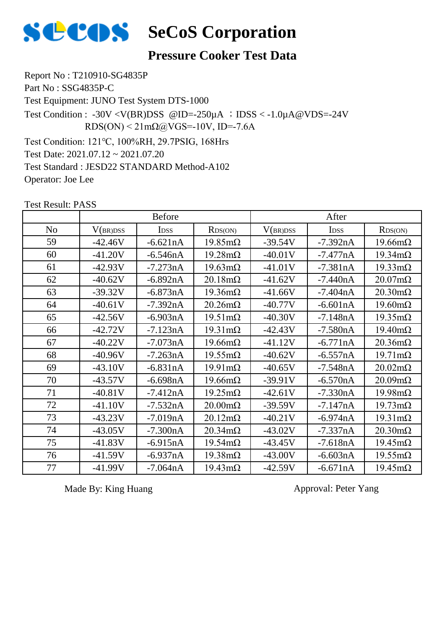

### **Pressure Cooker Test Data**

Report No : T210910-SG4835P Part No : SSG4835P-C Test Equipment: JUNO Test System DTS-1000 Test Condition: 121℃, 100%RH, 29.7PSIG, 168Hrs Test Date: 2021.07.12 ~ 2021.07.20 Test Standard : JESD22 STANDARD Method-A102 Operator: Joe Lee Test Condition : -30V <V(BR)DSS @ID=-250 $\mu$ A ; IDSS < -1.0 $\mu$ A@VDS=-24V  $RDS(ON) < 21 \text{m}\Omega$  (a) VGS = -10V, ID = -7.6A

Test Result: PASS

|                |           | <b>Before</b> |                        |           | After       |                        |
|----------------|-----------|---------------|------------------------|-----------|-------------|------------------------|
| N <sub>o</sub> | V(BR)DSS  | <b>IDSS</b>   | RDS(ON)                | V(BR)DSS  | <b>IDSS</b> | RDS(ON)                |
| 59             | $-42.46V$ | $-6.621nA$    | $19.85 \text{m}\Omega$ | $-39.54V$ | $-7.392nA$  | $19.66 \text{m}\Omega$ |
| 60             | $-41.20V$ | $-6.546nA$    | $19.28 \text{m}\Omega$ | $-40.01V$ | $-7.477nA$  | $19.34 \text{m}\Omega$ |
| 61             | $-42.93V$ | $-7.273nA$    | $19.63 \text{mA}$      | $-41.01V$ | $-7.381nA$  | $19.33 \text{mA}$      |
| 62             | $-40.62V$ | $-6.892nA$    | $20.18 \text{m}\Omega$ | $-41.62V$ | $-7.440nA$  | $20.07 \text{m}\Omega$ |
| 63             | $-39.32V$ | $-6.873nA$    | $19.36 \text{m}\Omega$ | $-41.66V$ | $-7.404nA$  | $20.30 \text{m}\Omega$ |
| 64             | $-40.61V$ | $-7.392nA$    | $20.26 \text{m}\Omega$ | $-40.77V$ | $-6.601nA$  | $19.60 \text{m}\Omega$ |
| 65             | $-42.56V$ | $-6.903nA$    | $19.51 \text{m}\Omega$ | $-40.30V$ | $-7.148nA$  | $19.35 \text{m}\Omega$ |
| 66             | $-42.72V$ | $-7.123nA$    | $19.31 \text{m}\Omega$ | $-42.43V$ | $-7.580nA$  | $19.40 \text{m}\Omega$ |
| 67             | $-40.22V$ | $-7.073nA$    | $19.66 \text{m}\Omega$ | $-41.12V$ | $-6.771nA$  | $20.36 \text{m}\Omega$ |
| 68             | $-40.96V$ | $-7.263nA$    | $19.55 \text{mA}$      | $-40.62V$ | $-6.557nA$  | $19.71 \text{m}\Omega$ |
| 69             | $-43.10V$ | $-6.831nA$    | $19.91 \text{m}\Omega$ | $-40.65V$ | $-7.548nA$  | $20.02 \text{m}\Omega$ |
| 70             | $-43.57V$ | $-6.698nA$    | $19.66 \text{m}\Omega$ | $-39.91V$ | $-6.570nA$  | $20.09 \text{m}\Omega$ |
| 71             | $-40.81V$ | $-7.412nA$    | $19.25 \text{m}\Omega$ | $-42.61V$ | $-7.330nA$  | $19.98 \text{m}\Omega$ |
| 72             | $-41.10V$ | $-7.532nA$    | $20.00 \text{m}\Omega$ | $-39.59V$ | $-7.147nA$  | $19.73 \text{mA}$      |
| 73             | $-43.23V$ | $-7.019nA$    | $20.12 \text{m}\Omega$ | $-40.21V$ | $-6.974nA$  | $19.31 \text{m}\Omega$ |
| 74             | $-43.05V$ | $-7.300nA$    | $20.34 \text{m}\Omega$ | $-43.02V$ | $-7.337nA$  | $20.30 \text{m}\Omega$ |
| 75             | $-41.83V$ | $-6.915nA$    | $19.54 \text{m}\Omega$ | $-43.45V$ | $-7.618nA$  | $19.45 \text{m}\Omega$ |
| 76             | $-41.59V$ | $-6.937nA$    | $19.38 \text{m}\Omega$ | $-43.00V$ | $-6.603nA$  | $19.55 \text{mA}$      |
| 77             | $-41.99V$ | $-7.064nA$    | $19.43 \text{m}\Omega$ | $-42.59V$ | $-6.671nA$  | $19.45 \text{m}\Omega$ |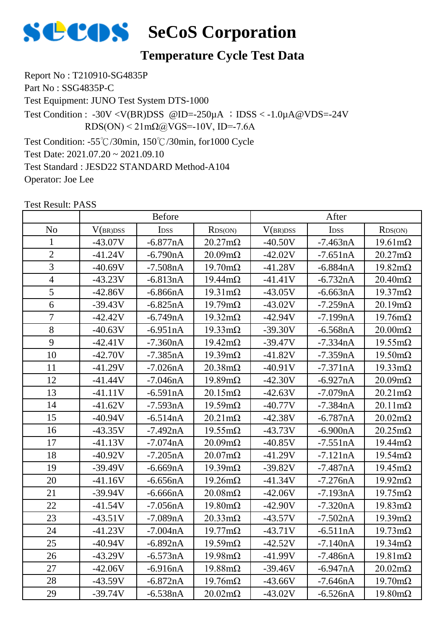

### **Temperature Cycle Test Data**

Report No : T210910-SG4835P Part No : SSG4835P-C Test Equipment: JUNO Test System DTS-1000 Test Condition: -55℃/30min, 150℃/30min, for1000 Cycle Test Condition : -30V <V(BR)DSS @ID=-250 $\mu$ A ; IDSS < -1.0 $\mu$ A@VDS=-24V  $RDS(ON) < 21 \text{m}\Omega$  (a) VGS = -10V, ID = -7.6A

Test Date: 2021.07.20 ~ 2021.09.10 Test Standard : JESD22 STANDARD Method-A104

Operator: Joe Lee

|                |           | <b>Before</b>    |                        | After     |            |                        |
|----------------|-----------|------------------|------------------------|-----------|------------|------------------------|
| N <sub>o</sub> | V(BR)DSS  | I <sub>DSS</sub> | RDS(ON)                | V(BR)DSS  | IDSS       | RDS(ON)                |
| $\mathbf{1}$   | $-43.07V$ | $-6.877nA$       | $20.27 \text{m}\Omega$ | $-40.50V$ | $-7.463nA$ | $19.61 \text{m}\Omega$ |
| $\overline{2}$ | $-41.24V$ | $-6.790nA$       | $20.09 \text{m}\Omega$ | $-42.02V$ | $-7.651nA$ | $20.27 \text{m}\Omega$ |
| $\overline{3}$ | $-40.69V$ | $-7.508nA$       | $19.70 \text{m}\Omega$ | $-41.28V$ | $-6.884nA$ | $19.82 \text{m}\Omega$ |
| $\overline{4}$ | $-43.23V$ | $-6.813nA$       | $19.44 \text{m}\Omega$ | $-41.41V$ | $-6.732nA$ | $20.40 \text{m}\Omega$ |
| 5              | $-42.86V$ | $-6.866nA$       | $19.31 \text{m}\Omega$ | $-43.05V$ | $-6.663nA$ | $19.37 \text{m}\Omega$ |
| 6              | $-39.43V$ | $-6.825nA$       | $19.79 \text{m}\Omega$ | $-43.02V$ | $-7.259nA$ | $20.19 \text{m}\Omega$ |
| $\overline{7}$ | $-42.42V$ | $-6.749nA$       | $19.32 \text{m}\Omega$ | $-42.94V$ | $-7.199nA$ | $19.76 \text{m}\Omega$ |
| 8              | $-40.63V$ | $-6.951nA$       | $19.33 \text{mA}$      | $-39.30V$ | $-6.568nA$ | $20.00 \text{m}\Omega$ |
| 9              | $-42.41V$ | $-7.360nA$       | $19.42 \text{m}\Omega$ | $-39.47V$ | $-7.334nA$ | $19.55 \text{m}\Omega$ |
| 10             | $-42.70V$ | $-7.385nA$       | $19.39 \text{m}\Omega$ | $-41.82V$ | $-7.359nA$ | $19.50 \text{m}\Omega$ |
| 11             | $-41.29V$ | $-7.026nA$       | $20.38 \text{m}\Omega$ | $-40.91V$ | $-7.371nA$ | $19.33 \text{mA}$      |
| 12             | $-41.44V$ | $-7.046nA$       | $19.89 \text{m}\Omega$ | $-42.30V$ | $-6.927nA$ | $20.09 \text{m}\Omega$ |
| 13             | $-41.11V$ | $-6.591nA$       | $20.15 \text{m}\Omega$ | $-42.63V$ | $-7.079nA$ | $20.21 \text{m}\Omega$ |
| 14             | $-41.62V$ | $-7.593nA$       | $19.59 \text{m}\Omega$ | $-40.77V$ | $-7.384nA$ | $20.11 \text{m}\Omega$ |
| 15             | $-40.94V$ | $-6.514nA$       | $20.21 \text{m}\Omega$ | $-42.38V$ | $-6.787nA$ | $20.02 \text{m}\Omega$ |
| 16             | $-43.35V$ | $-7.492nA$       | $19.55 \text{m}\Omega$ | $-43.73V$ | $-6.900nA$ | $20.25 \text{m}\Omega$ |
| 17             | $-41.13V$ | $-7.074nA$       | $20.09m\Omega$         | $-40.85V$ | $-7.551nA$ | $19.44 \text{m}\Omega$ |
| 18             | $-40.92V$ | $-7.205nA$       | $20.07 \text{m}\Omega$ | $-41.29V$ | $-7.121nA$ | $19.54 \text{m}\Omega$ |
| 19             | $-39.49V$ | $-6.669nA$       | $19.39 \text{m}\Omega$ | $-39.82V$ | $-7.487nA$ | $19.45 \text{m}\Omega$ |
| 20             | $-41.16V$ | $-6.656nA$       | $19.26 \text{m}\Omega$ | $-41.34V$ | $-7.276nA$ | $19.92 \text{m}\Omega$ |
| 21             | $-39.94V$ | $-6.666nA$       | $20.08 \text{m}\Omega$ | $-42.06V$ | $-7.193nA$ | $19.75 \text{m}\Omega$ |
| 22             | $-41.54V$ | $-7.056nA$       | $19.80 \text{m}\Omega$ | $-42.90V$ | $-7.320nA$ | $19.83 \text{m}\Omega$ |
| 23             | $-43.51V$ | $-7.089nA$       | $20.33 \text{mA}$      | $-43.57V$ | $-7.502nA$ | $19.39 \text{m}\Omega$ |
| 24             | $-41.23V$ | $-7.004nA$       | $19.77 \text{m}\Omega$ | $-43.71V$ | $-6.511nA$ | $19.73 \text{mA}$      |
| 25             | $-40.94V$ | $-6.892nA$       | $19.59 \text{m}\Omega$ | $-42.52V$ | $-7.140nA$ | $19.34 \text{m}\Omega$ |
| 26             | $-43.29V$ | $-6.573nA$       | $19.98 \text{m}\Omega$ | $-41.99V$ | $-7.486nA$ | $19.81 \text{m}\Omega$ |
| 27             | $-42.06V$ | $-6.916nA$       | $19.88 \text{m}\Omega$ | $-39.46V$ | $-6.947nA$ | $20.02 \text{m}\Omega$ |
| 28             | $-43.59V$ | $-6.872nA$       | $19.76 \text{m}\Omega$ | $-43.66V$ | $-7.646nA$ | $19.70 \text{m}\Omega$ |
| 29             | $-39.74V$ | $-6.538nA$       | $20.02 \text{m}\Omega$ | $-43.02V$ | $-6.526nA$ | $19.80 \text{m}\Omega$ |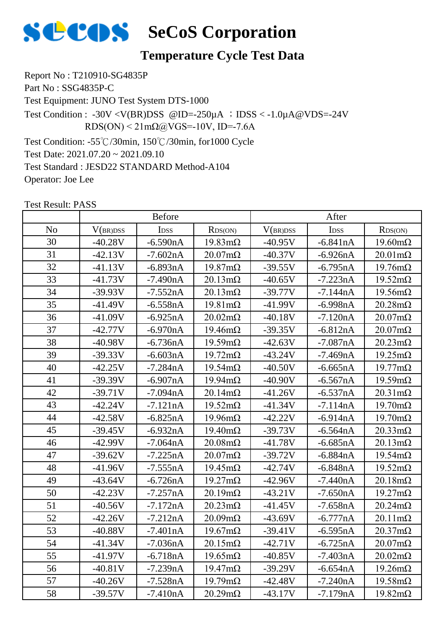

### **Temperature Cycle Test Data**

Report No : T210910-SG4835P Part No : SSG4835P-C Test Equipment: JUNO Test System DTS-1000 Test Condition: -55℃/30min, 150℃/30min, for1000 Cycle Test Condition : -30V <V(BR)DSS @ID=-250 $\mu$ A ; IDSS < -1.0 $\mu$ A@VDS=-24V  $RDS(ON) < 21 \text{m}\Omega$  (a) VGS = -10V, ID = -7.6A

Test Date: 2021.07.20 ~ 2021.09.10 Test Standard : JESD22 STANDARD Method-A104

Operator: Joe Lee

|    |           | <b>Before</b>    |                        | After     |            |                        |
|----|-----------|------------------|------------------------|-----------|------------|------------------------|
| No | V(BR)DSS  | I <sub>DSS</sub> | RDS(ON)                | V(BR)DSS  | IDSS       | RDS(ON)                |
| 30 | $-40.28V$ | $-6.590nA$       | $19.83 \text{mA}$      | $-40.95V$ | $-6.841nA$ | $19.60 \text{m}\Omega$ |
| 31 | $-42.13V$ | $-7.602nA$       | $20.07 \text{m}\Omega$ | $-40.37V$ | $-6.926nA$ | $20.01 \text{m}\Omega$ |
| 32 | $-41.13V$ | $-6.893nA$       | $19.87 \text{m}\Omega$ | $-39.55V$ | $-6.795nA$ | $19.76 \text{m}\Omega$ |
| 33 | $-41.73V$ | $-7.490nA$       | $20.13 \text{m}\Omega$ | $-40.65V$ | $-7.223nA$ | $19.52 \text{m}\Omega$ |
| 34 | $-39.93V$ | $-7.552nA$       | $20.13 \text{m}\Omega$ | $-39.77V$ | $-7.144nA$ | $19.56 \text{m}\Omega$ |
| 35 | $-41.49V$ | $-6.558nA$       | $19.81 \text{m}\Omega$ | $-41.99V$ | $-6.998nA$ | $20.28 \text{m}\Omega$ |
| 36 | $-41.09V$ | $-6.925nA$       | $20.02 \text{m}\Omega$ | $-40.18V$ | $-7.120nA$ | $20.07 \text{m}\Omega$ |
| 37 | $-42.77V$ | $-6.970nA$       | $19.46 \text{m}\Omega$ | $-39.35V$ | $-6.812nA$ | $20.07 \text{m}\Omega$ |
| 38 | $-40.98V$ | $-6.736nA$       | $19.59 \text{m}\Omega$ | $-42.63V$ | $-7.087nA$ | $20.23 \text{mA}$      |
| 39 | $-39.33V$ | $-6.603nA$       | $19.72 \text{m}\Omega$ | $-43.24V$ | $-7.469nA$ | $19.25 \text{m}\Omega$ |
| 40 | $-42.25V$ | $-7.284nA$       | $19.54 \text{m}\Omega$ | $-40.50V$ | $-6.665nA$ | $19.77 \text{m}\Omega$ |
| 41 | $-39.39V$ | $-6.907nA$       | $19.94 \text{m}\Omega$ | $-40.90V$ | $-6.567nA$ | $19.59 \text{m}\Omega$ |
| 42 | $-39.71V$ | -7.094nA         | $20.14 \text{m}\Omega$ | $-41.26V$ | $-6.537nA$ | $20.31 \text{m}\Omega$ |
| 43 | $-42.24V$ | $-7.121nA$       | $19.52 \text{m}\Omega$ | $-41.34V$ | $-7.114nA$ | $19.70 \text{m}\Omega$ |
| 44 | $-42.58V$ | $-6.825nA$       | $19.96 \text{m}\Omega$ | $-42.22V$ | $-6.914nA$ | $19.70 \text{m}\Omega$ |
| 45 | $-39.45V$ | $-6.932nA$       | $19.40 \text{m}\Omega$ | $-39.73V$ | $-6.564nA$ | $20.33 \text{mA}$      |
| 46 | $-42.99V$ | $-7.064nA$       | $20.08 \text{m}\Omega$ | $-41.78V$ | $-6.685nA$ | $20.13 \text{m}\Omega$ |
| 47 | $-39.62V$ | $-7.225nA$       | $20.07 \text{m}\Omega$ | $-39.72V$ | $-6.884nA$ | $19.54 \text{m}\Omega$ |
| 48 | $-41.96V$ | $-7.555nA$       | $19.45 \text{m}\Omega$ | $-42.74V$ | $-6.848nA$ | $19.52 \text{m}\Omega$ |
| 49 | $-43.64V$ | $-6.726nA$       | $19.27 \text{m}\Omega$ | $-42.96V$ | $-7.440nA$ | $20.18 \text{m}\Omega$ |
| 50 | $-42.23V$ | $-7.257nA$       | $20.19 \text{m}\Omega$ | $-43.21V$ | $-7.650nA$ | $19.27 \text{m}\Omega$ |
| 51 | $-40.56V$ | $-7.172nA$       | $20.23 \text{m}\Omega$ | $-41.45V$ | $-7.658nA$ | $20.24 \text{m}\Omega$ |
| 52 | $-42.26V$ | $-7.212nA$       | $20.09 \text{m}\Omega$ | $-43.69V$ | $-6.777nA$ | $20.11 \text{m}\Omega$ |
| 53 | $-40.88V$ | $-7.401nA$       | $19.67 \text{m}\Omega$ | $-39.41V$ | $-6.595nA$ | $20.37 \text{m}\Omega$ |
| 54 | $-41.34V$ | $-7.036nA$       | $20.15 \text{m}\Omega$ | $-42.71V$ | $-6.725nA$ | $20.07 \text{m}\Omega$ |
| 55 | $-41.97V$ | $-6.718nA$       | $19.65 \text{m}\Omega$ | $-40.85V$ | $-7.403nA$ | $20.02 \text{m}\Omega$ |
| 56 | $-40.81V$ | $-7.239nA$       | $19.47 \text{m}\Omega$ | $-39.29V$ | $-6.654nA$ | $19.26 \text{m}\Omega$ |
| 57 | $-40.26V$ | $-7.528nA$       | $19.79 \text{m}\Omega$ | $-42.48V$ | $-7.240nA$ | $19.58 \text{m}\Omega$ |
| 58 | $-39.57V$ | $-7.410nA$       | $20.29 \text{m}\Omega$ | $-43.17V$ | $-7.179nA$ | $19.82 \text{m}\Omega$ |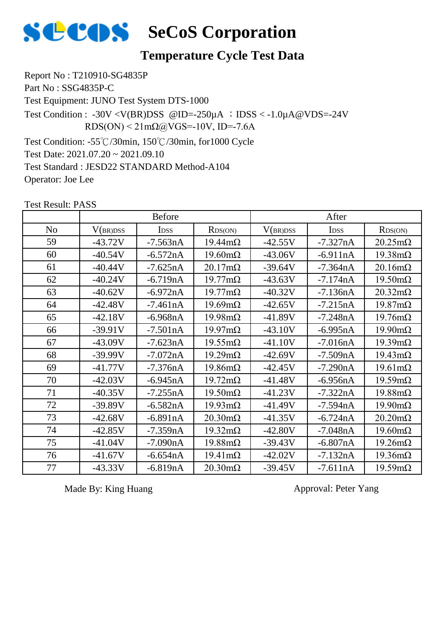

### **Temperature Cycle Test Data**

Report No : T210910-SG4835P Part No : SSG4835P-C Test Equipment: JUNO Test System DTS-1000 Test Condition: -55℃/30min, 150℃/30min, for1000 Cycle Test Condition : -30V <V(BR)DSS @ID=-250 $\mu$ A ; IDSS < -1.0 $\mu$ A@VDS=-24V  $RDS(ON) < 21 \text{m}\Omega$  (a) VGS = -10V, ID = -7.6A

Test Date: 2021.07.20 ~ 2021.09.10

Test Standard : JESD22 STANDARD Method-A104

Operator: Joe Lee

|                | <b>Before</b> |             |                        |           | After       |                        |  |
|----------------|---------------|-------------|------------------------|-----------|-------------|------------------------|--|
| N <sub>o</sub> | V(BR)DSS      | <b>IDSS</b> | RDS(ON)                | V(BR)DSS  | <b>IDSS</b> | RDS(ON)                |  |
| 59             | $-43.72V$     | $-7.563nA$  | $19.44 \text{m}\Omega$ | $-42.55V$ | $-7.327nA$  | $20.25 \text{m}\Omega$ |  |
| 60             | $-40.54V$     | $-6.572nA$  | $19.60 \text{m}\Omega$ | $-43.06V$ | $-6.911nA$  | $19.38 \text{m}\Omega$ |  |
| 61             | $-40.44V$     | $-7.625nA$  | $20.17 \text{m}\Omega$ | $-39.64V$ | $-7.364nA$  | $20.16 \text{m}\Omega$ |  |
| 62             | $-40.24V$     | $-6.719nA$  | $19.77 \text{m}\Omega$ | $-43.63V$ | $-7.174nA$  | $19.50 \text{m}\Omega$ |  |
| 63             | $-40.62V$     | $-6.972nA$  | $19.77 \text{mA}$      | $-40.32V$ | $-7.136nA$  | $20.32 \text{m}\Omega$ |  |
| 64             | $-42.48V$     | $-7.461nA$  | $19.69 \text{m}\Omega$ | $-42.65V$ | $-7.215nA$  | $19.87 \text{m}\Omega$ |  |
| 65             | $-42.18V$     | $-6.968nA$  | $19.98 \text{m}\Omega$ | $-41.89V$ | $-7.248nA$  | $19.76 \text{m}\Omega$ |  |
| 66             | $-39.91V$     | $-7.501nA$  | $19.97 \text{m}\Omega$ | $-43.10V$ | $-6.995nA$  | $19.90 \text{mA}$      |  |
| 67             | $-43.09V$     | $-7.623nA$  | $19.55 \text{mA}$      | $-41.10V$ | $-7.016nA$  | $19.39 \text{m}\Omega$ |  |
| 68             | $-39.99V$     | $-7.072nA$  | $19.29 \text{m}\Omega$ | $-42.69V$ | $-7.509nA$  | $19.43 \text{m}\Omega$ |  |
| 69             | $-41.77V$     | $-7.376nA$  | $19.86 \text{m}\Omega$ | $-42.45V$ | $-7.290nA$  | $19.61 \text{m}\Omega$ |  |
| 70             | $-42.03V$     | $-6.945nA$  | $19.72 \text{m}\Omega$ | $-41.48V$ | $-6.956nA$  | $19.59 \text{m}\Omega$ |  |
| 71             | $-40.35V$     | $-7.255nA$  | $19.50 \text{m}\Omega$ | $-41.23V$ | $-7.322nA$  | $19.88 \text{m}\Omega$ |  |
| 72             | $-39.89V$     | $-6.582nA$  | $19.93 \text{mA}$      | $-41.49V$ | $-7.594nA$  | $19.90 \text{m}\Omega$ |  |
| 73             | $-42.68V$     | $-6.891nA$  | $20.30 \text{m}\Omega$ | $-41.35V$ | $-6.724nA$  | $20.20 \text{m}\Omega$ |  |
| 74             | $-42.85V$     | $-7.359nA$  | $19.32 \text{m}\Omega$ | $-42.80V$ | $-7.048nA$  | $19.60 \text{m}\Omega$ |  |
| 75             | $-41.04V$     | $-7.090nA$  | $19.88 \text{m}\Omega$ | $-39.43V$ | $-6.807nA$  | $19.26 \text{m}\Omega$ |  |
| 76             | $-41.67V$     | $-6.654nA$  | $19.41 \text{m}\Omega$ | $-42.02V$ | $-7.132nA$  | $19.36 \text{m}\Omega$ |  |
| 77             | $-43.33V$     | $-6.819nA$  | $20.30 \text{m}\Omega$ | $-39.45V$ | $-7.611nA$  | $19.59 \text{m}\Omega$ |  |

Test Result: PASS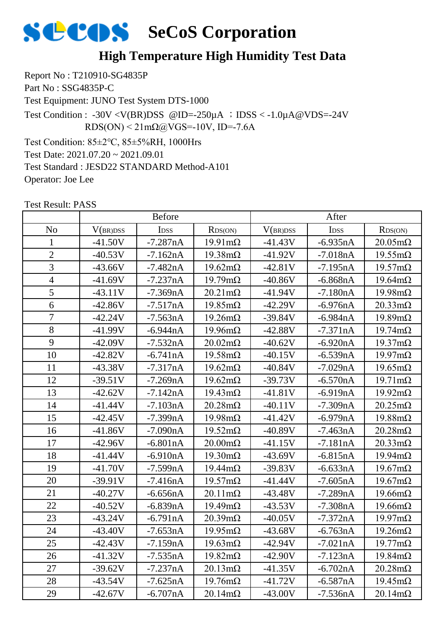### **High Temperature High Humidity Test Data**

Report No : T210910-SG4835P Part No : SSG4835P-C Test Equipment: JUNO Test System DTS-1000 Test Condition: 85±2℃, 85±5%RH, 1000Hrs Test Condition : -30V <V(BR)DSS @ID=-250 $\mu$ A ; IDSS < -1.0 $\mu$ A@VDS=-24V  $RDS(ON) < 21 \text{m}\Omega\omega/VGS = -10V$ , ID=-7.6A

Test Date: 2021.07.20 ~ 2021.09.01

Test Standard : JESD22 STANDARD Method-A101

Operator: Joe Lee

|                | <b>Before</b> |                  |                        |           | After      |                        |  |
|----------------|---------------|------------------|------------------------|-----------|------------|------------------------|--|
| N <sub>0</sub> | V(BR)DSS      | I <sub>DSS</sub> | RDS(ON)                | V(BR)DSS  | IDSS       | RDS(ON)                |  |
| $\mathbf{1}$   | $-41.50V$     | $-7.287nA$       | $19.91 \text{m}\Omega$ | $-41.43V$ | $-6.935nA$ | $20.05 \text{m}\Omega$ |  |
| $\overline{2}$ | $-40.53V$     | $-7.162nA$       | $19.38 \text{m}\Omega$ | $-41.92V$ | $-7.018nA$ | $19.55 \text{m}\Omega$ |  |
| $\overline{3}$ | $-43.66V$     | $-7.482nA$       | $19.62 \text{m}\Omega$ | $-42.81V$ | $-7.195nA$ | $19.57 \text{m}\Omega$ |  |
| $\overline{4}$ | $-41.69V$     | $-7.237nA$       | $19.79 \text{m}\Omega$ | $-40.86V$ | $-6.868nA$ | $19.64 \text{m}\Omega$ |  |
| 5              | $-43.11V$     | $-7.369nA$       | $20.21 \text{m}\Omega$ | $-41.94V$ | $-7.180nA$ | $19.98 \text{m}\Omega$ |  |
| 6              | $-42.86V$     | $-7.517nA$       | $19.85 \text{m}\Omega$ | $-42.29V$ | $-6.976nA$ | $20.33 \text{mA}$      |  |
| $\overline{7}$ | $-42.24V$     | $-7.563nA$       | $19.26 \text{m}\Omega$ | $-39.84V$ | $-6.984nA$ | $19.89 \text{m}\Omega$ |  |
| 8              | $-41.99V$     | $-6.944nA$       | $19.96 \text{m}\Omega$ | $-42.88V$ | $-7.371nA$ | $19.74 \text{m}\Omega$ |  |
| 9              | $-42.09V$     | $-7.532nA$       | $20.02 \text{m}\Omega$ | $-40.62V$ | $-6.920nA$ | $19.37 \text{m}\Omega$ |  |
| 10             | $-42.82V$     | $-6.741nA$       | $19.58 \text{m}\Omega$ | $-40.15V$ | $-6.539nA$ | $19.97 \text{m}\Omega$ |  |
| 11             | $-43.38V$     | $-7.317nA$       | $19.62 \text{m}\Omega$ | $-40.84V$ | $-7.029nA$ | $19.65 \text{m}\Omega$ |  |
| 12             | $-39.51V$     | $-7.269nA$       | $19.62 \text{m}\Omega$ | $-39.73V$ | $-6.570nA$ | $19.71 \text{m}\Omega$ |  |
| 13             | $-42.62V$     | $-7.142nA$       | $19.43 \text{m}\Omega$ | $-41.81V$ | $-6.919nA$ | $19.92 \text{m}\Omega$ |  |
| 14             | $-41.44V$     | $-7.103nA$       | $20.28 \text{m}\Omega$ | $-40.11V$ | $-7.309nA$ | $20.25 \text{m}\Omega$ |  |
| 15             | $-42.45V$     | $-7.399nA$       | $19.98 \text{m}\Omega$ | $-41.42V$ | $-6.979nA$ | $19.88 \text{m}\Omega$ |  |
| 16             | $-41.86V$     | $-7.090nA$       | $19.52 \text{m}\Omega$ | $-40.89V$ | $-7.463nA$ | $20.28 \text{m}\Omega$ |  |
| 17             | $-42.96V$     | $-6.801nA$       | $20.00 \text{m}\Omega$ | $-41.15V$ | $-7.181nA$ | $20.33 \text{mA}$      |  |
| 18             | $-41.44V$     | $-6.910nA$       | $19.30 \text{m}\Omega$ | $-43.69V$ | $-6.815nA$ | $19.94 \text{m}\Omega$ |  |
| 19             | $-41.70V$     | $-7.599nA$       | $19.44 \text{m}\Omega$ | $-39.83V$ | $-6.633nA$ | $19.67 \text{m}\Omega$ |  |
| 20             | $-39.91V$     | $-7.416nA$       | $19.57 \text{mA}$      | $-41.44V$ | $-7.605nA$ | $19.67 \text{m}\Omega$ |  |
| 21             | $-40.27V$     | $-6.656nA$       | $20.11 \text{m}\Omega$ | $-43.48V$ | $-7.289nA$ | $19.66 \text{m}\Omega$ |  |
| 22             | $-40.52V$     | -6.839nA         | $19.49 \text{m}\Omega$ | $-43.53V$ | $-7.308nA$ | $19.66 \text{m}\Omega$ |  |
| 23             | $-43.24V$     | $-6.791nA$       | $20.39 \text{m}\Omega$ | $-40.05V$ | $-7.372nA$ | $19.97 \text{m}\Omega$ |  |
| 24             | $-43.40V$     | $-7.653nA$       | $19.95 \text{mA}$      | $-43.68V$ | $-6.763nA$ | $19.26 \text{m}\Omega$ |  |
| 25             | $-42.43V$     | $-7.159nA$       | $19.63 \text{mA}$      | $-42.94V$ | $-7.021nA$ | $19.77 \text{m}\Omega$ |  |
| 26             | $-41.32V$     | $-7.535nA$       | $19.82 \text{m}\Omega$ | $-42.90V$ | $-7.123nA$ | $19.84 \text{m}\Omega$ |  |
| 27             | $-39.62V$     | $-7.237nA$       | $20.13 \text{m}\Omega$ | $-41.35V$ | $-6.702nA$ | $20.28 \text{m}\Omega$ |  |
| 28             | $-43.54V$     | $-7.625nA$       | $19.76 \text{m}\Omega$ | $-41.72V$ | $-6.587nA$ | $19.45 \text{m}\Omega$ |  |
| 29             | $-42.67V$     | $-6.707nA$       | $20.14 \text{m}\Omega$ | $-43.00V$ | $-7.536nA$ | $20.14 \text{m}\Omega$ |  |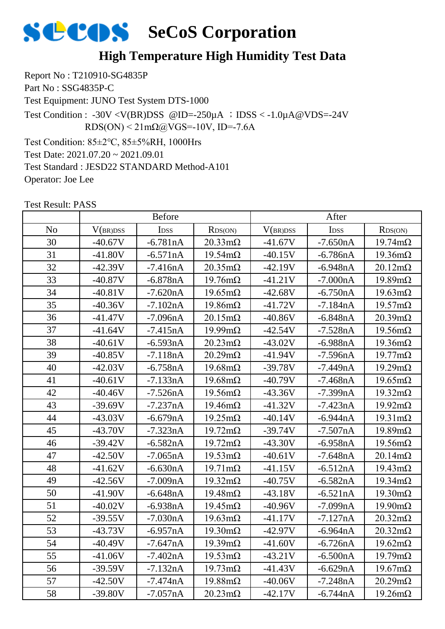### **High Temperature High Humidity Test Data**

Report No : T210910-SG4835P Part No : SSG4835P-C Test Equipment: JUNO Test System DTS-1000 Test Condition: 85±2℃, 85±5%RH, 1000Hrs Test Condition : -30V <V(BR)DSS @ID=-250 $\mu$ A ; IDSS < -1.0 $\mu$ A@VDS=-24V  $RDS(ON) < 21 \text{m}\Omega\omega/VGS = -10V$ , ID=-7.6A

Test Date: 2021.07.20 ~ 2021.09.01

Test Standard : JESD22 STANDARD Method-A101

Operator: Joe Lee

|                | <b>Before</b> |                  |                        |           | After            |                        |  |  |
|----------------|---------------|------------------|------------------------|-----------|------------------|------------------------|--|--|
| N <sub>o</sub> | V(BR)DSS      | I <sub>DSS</sub> | RDS(ON)                | V(BR)DSS  | I <sub>DSS</sub> | RDS(ON)                |  |  |
| 30             | $-40.67V$     | $-6.781nA$       | $20.33 \text{mA}$      | $-41.67V$ | $-7.650nA$       | $19.74 \text{m}\Omega$ |  |  |
| 31             | $-41.80V$     | $-6.571nA$       | $19.54 \text{m}\Omega$ | $-40.15V$ | $-6.786nA$       | $19.36 \text{m}\Omega$ |  |  |
| 32             | $-42.39V$     | $-7.416nA$       | $20.35 \text{m}\Omega$ | $-42.19V$ | $-6.948nA$       | $20.12 \text{m}\Omega$ |  |  |
| 33             | $-40.87V$     | $-6.878nA$       | $19.76 \text{m}\Omega$ | $-41.21V$ | $-7.000nA$       | $19.89 \text{m}\Omega$ |  |  |
| 34             | $-40.81V$     | $-7.620nA$       | $19.65 \text{m}\Omega$ | $-42.68V$ | $-6.750nA$       | $19.63 \text{m}\Omega$ |  |  |
| 35             | $-40.36V$     | $-7.102nA$       | $19.86 \text{m}\Omega$ | $-41.72V$ | $-7.184nA$       | $19.57 \text{m}\Omega$ |  |  |
| 36             | $-41.47V$     | $-7.096nA$       | $20.15 \text{m}\Omega$ | $-40.86V$ | $-6.848nA$       | $20.39 \text{m}\Omega$ |  |  |
| 37             | $-41.64V$     | $-7.415nA$       | $19.99 \text{mA}$      | $-42.54V$ | $-7.528nA$       | $19.56 \text{m}\Omega$ |  |  |
| 38             | $-40.61V$     | $-6.593nA$       | $20.23 \text{m}\Omega$ | $-43.02V$ | $-6.988nA$       | $19.36 \text{m}\Omega$ |  |  |
| 39             | $-40.85V$     | $-7.118nA$       | $20.29 \text{m}\Omega$ | $-41.94V$ | $-7.596nA$       | $19.77 \text{m}\Omega$ |  |  |
| 40             | $-42.03V$     | $-6.758nA$       | $19.68 \text{m}\Omega$ | $-39.78V$ | $-7.449nA$       | $19.29 \text{m}\Omega$ |  |  |
| 41             | $-40.61V$     | $-7.133nA$       | $19.68 \text{m}\Omega$ | $-40.79V$ | $-7.468nA$       | $19.65 \text{m}\Omega$ |  |  |
| 42             | $-40.46V$     | $-7.526nA$       | $19.56 \text{m}\Omega$ | $-43.36V$ | $-7.399nA$       | $19.32 \text{m}\Omega$ |  |  |
| 43             | $-39.69V$     | $-7.237nA$       | $19.46 \text{m}\Omega$ | $-41.32V$ | $-7.423nA$       | $19.92 \text{m}\Omega$ |  |  |
| 44             | $-43.03V$     | $-6.679nA$       | $19.25 \text{m}\Omega$ | $-40.14V$ | $-6.944nA$       | $19.31 \text{m}\Omega$ |  |  |
| 45             | $-43.70V$     | $-7.323nA$       | $19.72 \text{m}\Omega$ | $-39.74V$ | $-7.507nA$       | $19.89 \text{m}\Omega$ |  |  |
| 46             | $-39.42V$     | $-6.582nA$       | $19.72 \text{m}\Omega$ | $-43.30V$ | $-6.958nA$       | $19.56 \text{m}\Omega$ |  |  |
| 47             | $-42.50V$     | $-7.065nA$       | $19.53 \text{mA}$      | $-40.61V$ | $-7.648nA$       | $20.14 \text{m}\Omega$ |  |  |
| 48             | $-41.62V$     | $-6.630nA$       | $19.71 \text{m}\Omega$ | $-41.15V$ | $-6.512nA$       | $19.43 \text{m}\Omega$ |  |  |
| 49             | $-42.56V$     | $-7.009nA$       | $19.32 \text{m}\Omega$ | $-40.75V$ | $-6.582nA$       | $19.34 \text{m}\Omega$ |  |  |
| 50             | $-41.90V$     | $-6.648nA$       | $19.48 \text{m}\Omega$ | $-43.18V$ | $-6.521nA$       | $19.30 \text{m}\Omega$ |  |  |
| 51             | $-40.02V$     | $-6.938nA$       | $19.45 \text{m}\Omega$ | $-40.96V$ | $-7.099nA$       | $19.90 \text{m}\Omega$ |  |  |
| 52             | $-39.55V$     | $-7.030nA$       | $19.63 \text{mA}$      | $-41.17V$ | $-7.127nA$       | $20.32 \text{m}\Omega$ |  |  |
| 53             | $-43.73V$     | $-6.957nA$       | $19.30 \text{m}\Omega$ | $-42.97V$ | $-6.964nA$       | $20.32 \text{m}\Omega$ |  |  |
| 54             | $-40.49V$     | $-7.647nA$       | $19.39 \text{m}\Omega$ | $-41.60V$ | $-6.726nA$       | $19.62 \text{m}\Omega$ |  |  |
| 55             | $-41.06V$     | $-7.402nA$       | $19.53 \text{mA}$      | $-43.21V$ | $-6.500nA$       | $19.79 \text{m}\Omega$ |  |  |
| 56             | $-39.59V$     | $-7.132nA$       | $19.73 \text{m}\Omega$ | $-41.43V$ | $-6.629nA$       | $19.67 \text{m}\Omega$ |  |  |
| 57             | $-42.50V$     | $-7.474nA$       | $19.88 \text{m}\Omega$ | $-40.06V$ | $-7.248nA$       | $20.29 \text{m}\Omega$ |  |  |
| 58             | $-39.80V$     | $-7.057nA$       | $20.23 \text{m}\Omega$ | $-42.17V$ | $-6.744nA$       | $19.26 \text{m}\Omega$ |  |  |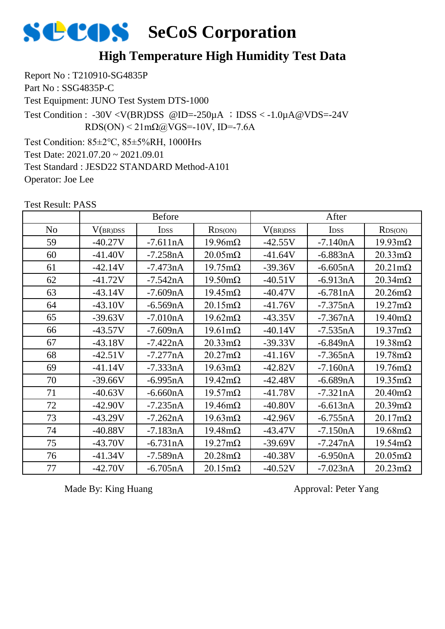### **High Temperature High Humidity Test Data**

Report No : T210910-SG4835P Part No : SSG4835P-C Test Equipment: JUNO Test System DTS-1000 Test Condition: 85±2℃, 85±5%RH, 1000Hrs Test Condition :  $-30V < V(BR)DSS$  @ID= $-250\mu A$  ; IDSS  $< -1.0\mu A$  @VDS= $-24V$  $RDS(ON) < 21 \text{m}\Omega$  (a) VGS = -10V, ID = -7.6A

Test Date: 2021.07.20 ~ 2021.09.01 Test Standard : JESD22 STANDARD Method-A101 Operator: Joe Lee

|                | <b>Before</b> |             |                        | After     |                  |                        |
|----------------|---------------|-------------|------------------------|-----------|------------------|------------------------|
| N <sub>o</sub> | V(BR)DSS      | <b>IDSS</b> | RDS(ON)                | V(BR)DSS  | I <sub>DSS</sub> | RDS(ON)                |
| 59             | $-40.27V$     | $-7.611nA$  | $19.96 \text{m}\Omega$ | $-42.55V$ | $-7.140nA$       | $19.93 \text{mA}$      |
| 60             | $-41.40V$     | $-7.258nA$  | $20.05 \text{m}\Omega$ | $-41.64V$ | $-6.883nA$       | $20.33 \text{mA}$      |
| 61             | $-42.14V$     | $-7.473nA$  | $19.75 \text{m}\Omega$ | $-39.36V$ | $-6.605nA$       | $20.21 \text{m}\Omega$ |
| 62             | $-41.72V$     | $-7.542nA$  | $19.50 \text{m}\Omega$ | $-40.51V$ | $-6.913nA$       | $20.34 \text{m}\Omega$ |
| 63             | $-43.14V$     | $-7.609nA$  | $19.45 \text{m}\Omega$ | $-40.47V$ | $-6.781nA$       | $20.26 \text{m}\Omega$ |
| 64             | $-43.10V$     | $-6.569nA$  | $20.15 \text{m}\Omega$ | $-41.76V$ | $-7.375nA$       | $19.27 \text{m}\Omega$ |
| 65             | $-39.63V$     | $-7.010nA$  | $19.62 \text{m}\Omega$ | $-43.35V$ | $-7.367nA$       | $19.40 \text{m}\Omega$ |
| 66             | $-43.57V$     | $-7.609nA$  | $19.61 \text{m}\Omega$ | $-40.14V$ | $-7.535nA$       | $19.37 \text{m}\Omega$ |
| 67             | $-43.18V$     | $-7.422nA$  | $20.33 \text{mA}$      | $-39.33V$ | $-6.849nA$       | $19.38 \text{m}\Omega$ |
| 68             | $-42.51V$     | $-7.277nA$  | $20.27 \text{m}\Omega$ | $-41.16V$ | $-7.365nA$       | $19.78 \text{m}\Omega$ |
| 69             | $-41.14V$     | $-7.333nA$  | $19.63 \text{m}\Omega$ | $-42.82V$ | $-7.160nA$       | $19.76 \text{m}\Omega$ |
| 70             | $-39.66V$     | $-6.995nA$  | $19.42 \text{m}\Omega$ | $-42.48V$ | $-6.689nA$       | $19.35 \text{m}\Omega$ |
| 71             | $-40.63V$     | $-6.660nA$  | $19.57 \text{m}\Omega$ | $-41.78V$ | $-7.321nA$       | $20.40 \text{m}\Omega$ |
| 72             | $-42.90V$     | $-7.235nA$  | $19.46 \text{m}\Omega$ | $-40.80V$ | $-6.613nA$       | $20.39 \text{m}\Omega$ |
| 73             | $-43.29V$     | $-7.262nA$  | $19.63 \text{mA}$      | $-42.96V$ | $-6.755nA$       | $20.17 \text{m}\Omega$ |
| 74             | $-40.88V$     | $-7.183nA$  | $19.48 \text{m}\Omega$ | $-43.47V$ | $-7.150nA$       | $19.68 \text{m}\Omega$ |
| 75             | $-43.70V$     | $-6.731nA$  | $19.27 \text{m}\Omega$ | $-39.69V$ | $-7.247nA$       | $19.54 \text{m}\Omega$ |
| 76             | $-41.34V$     | $-7.589nA$  | $20.28 \text{m}\Omega$ | $-40.38V$ | $-6.950nA$       | $20.05 \text{m}\Omega$ |
| 77             | $-42.70V$     | $-6.705nA$  | $20.15 \text{m}\Omega$ | $-40.52V$ | $-7.023nA$       | $20.23 \text{mA}$      |

Test Result: PASS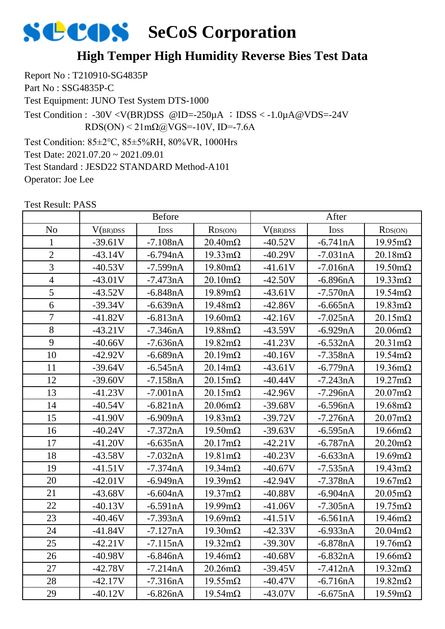### **High Temper High Humidity Reverse Bies Test Data**

Report No : T210910-SG4835P Part No : SSG4835P-C Test Equipment: JUNO Test System DTS-1000 Test Condition: 85±2℃, 85±5%RH, 80%VR, 1000Hrs Test Date: 2021.07.20 ~ 2021.09.01 Test Condition :  $-30V < V(BR)DSS$  @ID= $-250\mu A$  ; IDSS  $< -1.0\mu A$  @VDS= $-24V$  $RDS(ON) < 21 \text{m}\Omega\omega VGS = -10V$ , ID=-7.6A

Test Standard : JESD22 STANDARD Method-A101

Operator: Joe Lee

No | V(br)dss | Idss | Rds(on) | V(br)dss | Idss | Rds(on) 1 -39.61V -7.108nA 20.40mΩ -40.52V -6.741nA 19.95mΩ 2 | -43.14V | -6.794nA | 19.33mΩ | -40.29V | -7.031nA | 20.18mΩ 3 | −40.53V | −7.599nA | 19.80mΩ | −41.61V | −7.016nA | 19.50mΩ 4 | -43.01V | -7.473nA | 20.10mΩ | -42.50V | -6.896nA | 19.33mΩ 5 | -43.52V | -6.848nA | 19.89mΩ | -43.61V | -7.570nA | 19.54mΩ 6 -39.34V -6.639nA 19.48mΩ -42.86V -6.665nA 19.83mΩ 7 | -41.82V | -6.813nA | 19.60mΩ | -42.16V | -7.025nA | 20.15mΩ 8 | -43.21V | -7.346nA | 19.88mΩ | -43.59V | -6.929nA | 20.06mΩ 9 | -40.66V | -7.636nA | 19.82mΩ | -41.23V | -6.532nA | 20.31mΩ 10 | -42.92V | -6.689nA | 20.19mΩ | -40.16V | -7.358nA | 19.54mΩ 11 | -39.64V | -6.545nA | 20.14mΩ | -43.61V | -6.779nA | 19.36mΩ 12 | -39.60V | -7.158nA | 20.15mΩ | -40.44V | -7.243nA | 19.27mΩ 13 | -41.23V | -7.001nA | 20.15mΩ | -42.96V | -7.296nA | 20.07mΩ 14 | -40.54V | -6.821nA | 20.06mΩ | -39.68V | -6.596nA | 19.68mΩ 15 | -41.90V | -6.909nA | 19.83mΩ | -39.72V | -7.276nA | 20.07mΩ 16 | -40.24V | -7.372nA | 19.50mΩ | -39.63V | -6.595nA | 19.66mΩ 17 | -41.20V | -6.635nA | 20.17mΩ | -42.21V | -6.787nA | 20.20mΩ 18 | -43.58V | -7.032nA | 19.81mΩ | -40.23V | -6.633nA | 19.69mΩ 19 | -41.51V | -7.374nA | 19.34mΩ | -40.67V | -7.535nA | 19.43mΩ 20 -42.01V -6.949nA 19.39mΩ -42.94V -7.378nA 19.67mΩ 21 | -43.68V | -6.604nA | 19.37mΩ | -40.88V | -6.904nA | 20.05mΩ 22 | -40.13V | -6.591nA | 19.99mΩ | -41.06V | -7.305nA | 19.75mΩ 23 | -40.46V | -7.393nA | 19.69mΩ | -41.51V | -6.561nA | 19.46mΩ 24 -41.84V -7.127nA 19.30mΩ -42.33V -6.933nA 20.04mΩ 25 -42.21V -7.115nA 19.32mΩ -39.30V -6.878nA 19.76mΩ 26 -40.98V -6.846nA 19.46mΩ -40.68V -6.832nA 19.66mΩ 27 | -42.78V | -7.214nA | 20.26mΩ | -39.45V | -7.412nA | 19.32mΩ Before After

28 | -42.17V | -7.316nA | 19.55mΩ | -40.47V | -6.716nA | 19.82mΩ 29 | -40.12V | -6.826nA | 19.54mΩ | -43.07V | -6.675nA | 19.59mΩ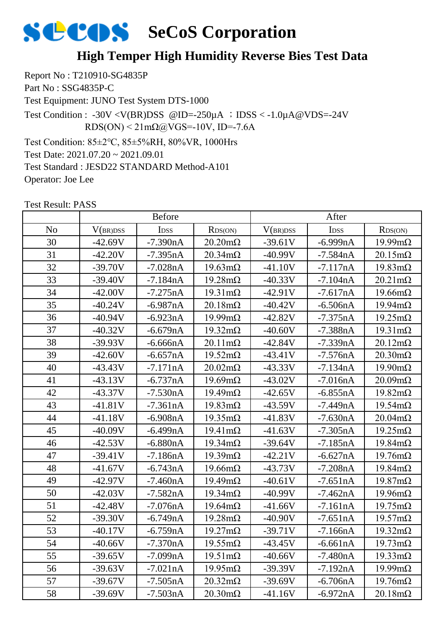### **High Temper High Humidity Reverse Bies Test Data**

Report No : T210910-SG4835P Part No : SSG4835P-C Test Equipment: JUNO Test System DTS-1000 Test Condition: 85±2℃, 85±5%RH, 80%VR, 1000Hrs Test Date: 2021.07.20 ~ 2021.09.01 Test Condition : -30V <V(BR)DSS @ID=-250 $\mu$ A ; IDSS < -1.0 $\mu$ A@VDS=-24V  $RDS(ON) < 21 \text{m}\Omega$  (a) VGS = -10V, ID = -7.6A

Test Standard : JESD22 STANDARD Method-A101 Operator: Joe Lee

|                | <b>Before</b> |                  |                        |           | After            |                        |  |
|----------------|---------------|------------------|------------------------|-----------|------------------|------------------------|--|
| N <sub>o</sub> | V(BR)DSS      | I <sub>DSS</sub> | RDS(ON)                | V(BR)DSS  | I <sub>DSS</sub> | RDS(ON)                |  |
| 30             | $-42.69V$     | $-7.390nA$       | $20.20 \text{m}\Omega$ | $-39.61V$ | $-6.999nA$       | $19.99 \text{mA}$      |  |
| 31             | $-42.20V$     | $-7.395nA$       | $20.34 \text{m}\Omega$ | $-40.99V$ | $-7.584nA$       | $20.15 \text{m}\Omega$ |  |
| 32             | $-39.70V$     | $-7.028nA$       | $19.63 \text{mA}$      | $-41.10V$ | $-7.117nA$       | $19.83 \text{mA}$      |  |
| 33             | $-39.40V$     | $-7.184nA$       | $19.28 \text{m}\Omega$ | $-40.33V$ | $-7.104nA$       | $20.21 \text{m}\Omega$ |  |
| 34             | $-42.00V$     | $-7.275nA$       | $19.31 \text{m}\Omega$ | $-42.91V$ | $-7.617nA$       | $19.66 \text{m}\Omega$ |  |
| 35             | $-40.24V$     | $-6.987nA$       | $20.18 \text{m}\Omega$ | $-40.42V$ | $-6.506nA$       | $19.94 \text{m}\Omega$ |  |
| 36             | $-40.94V$     | $-6.923nA$       | $19.99 \text{mA}$      | $-42.82V$ | $-7.375nA$       | $19.25 \text{m}\Omega$ |  |
| 37             | $-40.32V$     | $-6.679nA$       | $19.32 \text{m}\Omega$ | $-40.60V$ | $-7.388nA$       | $19.31 \text{m}\Omega$ |  |
| 38             | $-39.93V$     | $-6.666nA$       | $20.11 \text{m}\Omega$ | $-42.84V$ | $-7.339nA$       | $20.12 \text{m}\Omega$ |  |
| 39             | $-42.60V$     | $-6.657nA$       | $19.52 \text{m}\Omega$ | $-43.41V$ | $-7.576nA$       | $20.30 \text{m}\Omega$ |  |
| 40             | $-43.43V$     | $-7.171nA$       | $20.02 \text{m}\Omega$ | $-43.33V$ | $-7.134nA$       | $19.90 \text{mA}$      |  |
| 41             | $-43.13V$     | $-6.737nA$       | $19.69 \text{m}\Omega$ | $-43.02V$ | $-7.016nA$       | $20.09 \text{m}\Omega$ |  |
| 42             | $-43.37V$     | $-7.530nA$       | $19.49 \text{m}\Omega$ | $-42.65V$ | $-6.855nA$       | $19.82 \text{m}\Omega$ |  |
| 43             | $-41.81V$     | $-7.361nA$       | $19.83 \text{mA}$      | $-43.59V$ | $-7.449nA$       | $19.54 \text{m}\Omega$ |  |
| 44             | $-41.18V$     | $-6.908nA$       | $19.35 \text{m}\Omega$ | $-41.83V$ | $-7.630nA$       | $20.04 \text{m}\Omega$ |  |
| 45             | $-40.09V$     | $-6.499nA$       | $19.41 \text{m}\Omega$ | $-41.63V$ | $-7.305nA$       | $19.25 \text{m}\Omega$ |  |
| 46             | $-42.53V$     | $-6.880nA$       | $19.34 \text{m}\Omega$ | $-39.64V$ | $-7.185nA$       | $19.84 \text{m}\Omega$ |  |
| 47             | $-39.41V$     | $-7.186nA$       | $19.39 \text{m}\Omega$ | $-42.21V$ | $-6.627nA$       | $19.76 \text{m}\Omega$ |  |
| 48             | $-41.67V$     | $-6.743nA$       | $19.66 \text{m}\Omega$ | $-43.73V$ | $-7.208nA$       | $19.84 \text{m}\Omega$ |  |
| 49             | $-42.97V$     | $-7.460nA$       | $19.49 \text{m}\Omega$ | $-40.61V$ | $-7.651nA$       | $19.87 \text{m}\Omega$ |  |
| 50             | $-42.03V$     | $-7.582nA$       | $19.34 \text{m}\Omega$ | $-40.99V$ | $-7.462nA$       | $19.96 \text{m}\Omega$ |  |
| 51             | $-42.48V$     | $-7.076nA$       | $19.64 \text{m}\Omega$ | $-41.66V$ | $-7.161nA$       | $19.75 \text{m}\Omega$ |  |
| 52             | $-39.30V$     | $-6.749nA$       | $19.28 \text{m}\Omega$ | $-40.90V$ | $-7.651nA$       | $19.57 \text{m}\Omega$ |  |
| 53             | $-40.17V$     | $-6.759nA$       | $19.27 \text{m}\Omega$ | $-39.71V$ | $-7.166nA$       | $19.32 \text{m}\Omega$ |  |
| 54             | 40.66V        | $-7.370nA$       | $19.55 \text{mA}$      | -43.45V   | -6.661nA         | $19.73 \text{mA}$      |  |
| 55             | $-39.65V$     | $-7.099nA$       | $19.51 \text{m}\Omega$ | $-40.66V$ | $-7.480nA$       | $19.33 \text{mA}$      |  |
| 56             | $-39.63V$     | $-7.021nA$       | $19.95 \text{mA}$      | $-39.39V$ | $-7.192nA$       | $19.99 \text{m}\Omega$ |  |
| 57             | $-39.67V$     | $-7.505nA$       | $20.32 \text{m}\Omega$ | $-39.69V$ | $-6.706nA$       | $19.76 \text{m}\Omega$ |  |
| 58             | $-39.69V$     | $-7.503nA$       | $20.30 \text{m}\Omega$ | $-41.16V$ | $-6.972nA$       | $20.18 \text{m}\Omega$ |  |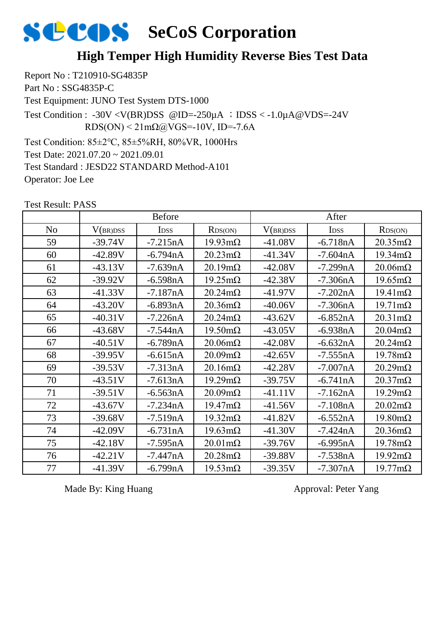### **High Temper High Humidity Reverse Bies Test Data**

Report No : T210910-SG4835P Part No : SSG4835P-C Test Equipment: JUNO Test System DTS-1000 Test Condition: 85±2℃, 85±5%RH, 80%VR, 1000Hrs Test Date: 2021.07.20 ~ 2021.09.01 Test Condition : -30V <V(BR)DSS @ID=-250 $\mu$ A ; IDSS < -1.0 $\mu$ A@VDS=-24V  $RDS(ON) < 21 \text{m}\Omega$  (a) VGS = -10V, ID = -7.6A

Test Standard : JESD22 STANDARD Method-A101

Operator: Joe Lee

|                | <b>Before</b> |             |                        | After     |             |                        |
|----------------|---------------|-------------|------------------------|-----------|-------------|------------------------|
| N <sub>o</sub> | V(BR)DSS      | <b>IDSS</b> | RDS(ON)                | V(BR)DSS  | <b>IDSS</b> | RDS(ON)                |
| 59             | $-39.74V$     | $-7.215nA$  | $19.93 \text{mA}$      | $-41.08V$ | $-6.718nA$  | $20.35 \text{m}\Omega$ |
| 60             | $-42.89V$     | $-6.794nA$  | $20.23 \text{m}\Omega$ | $-41.34V$ | $-7.604nA$  | $19.34 \text{m}\Omega$ |
| 61             | $-43.13V$     | $-7.639nA$  | $20.19 \text{m}\Omega$ | $-42.08V$ | $-7.299nA$  | $20.06 \text{m}\Omega$ |
| 62             | $-39.92V$     | $-6.598nA$  | $19.25 \text{m}\Omega$ | $-42.38V$ | $-7.306nA$  | $19.65 \text{m}\Omega$ |
| 63             | $-41.33V$     | $-7.187nA$  | $20.24 \text{m}\Omega$ | $-41.97V$ | $-7.202nA$  | $19.41 \text{m}\Omega$ |
| 64             | $-43.20V$     | $-6.893nA$  | $20.36 \text{m}\Omega$ | $-40.06V$ | $-7.306nA$  | $19.71 \text{m}\Omega$ |
| 65             | $-40.31V$     | $-7.226nA$  | $20.24 \text{m}\Omega$ | $-43.62V$ | $-6.852nA$  | $20.31 \text{m}\Omega$ |
| 66             | $-43.68V$     | $-7.544nA$  | $19.50 \text{m}\Omega$ | $-43.05V$ | $-6.938nA$  | $20.04 \text{m}\Omega$ |
| 67             | $-40.51V$     | $-6.789nA$  | $20.06 \text{m}\Omega$ | $-42.08V$ | $-6.632nA$  | $20.24 \text{m}\Omega$ |
| 68             | $-39.95V$     | $-6.615nA$  | $20.09 \text{m}\Omega$ | $-42.65V$ | $-7.555nA$  | $19.78 \text{m}\Omega$ |
| 69             | $-39.53V$     | $-7.313nA$  | $20.16 \text{m}\Omega$ | $-42.28V$ | $-7.007nA$  | $20.29 \text{m}\Omega$ |
| 70             | $-43.51V$     | $-7.613nA$  | $19.29 \text{m}\Omega$ | $-39.75V$ | $-6.741nA$  | $20.37 \text{m}\Omega$ |
| 71             | $-39.51V$     | $-6.563nA$  | $20.09 \text{m}\Omega$ | $-41.11V$ | $-7.162nA$  | $19.29 \text{m}\Omega$ |
| 72             | $-43.67V$     | $-7.234nA$  | $19.47 \text{m}\Omega$ | $-41.56V$ | $-7.108nA$  | $20.02 \text{m}\Omega$ |
| 73             | $-39.68V$     | $-7.519nA$  | $19.32 \text{m}\Omega$ | $-41.82V$ | $-6.552nA$  | $19.80 \text{m}\Omega$ |
| 74             | $-42.09V$     | $-6.731nA$  | $19.63 \text{mA}$      | $-41.30V$ | $-7.424nA$  | $20.36 \text{m}\Omega$ |
| 75             | $-42.18V$     | $-7.595nA$  | $20.01 \text{m}\Omega$ | $-39.76V$ | $-6.995nA$  | $19.78 \text{m}\Omega$ |
| 76             | $-42.21V$     | $-7.447nA$  | $20.28 \text{m}\Omega$ | $-39.88V$ | $-7.538nA$  | $19.92 \text{m}\Omega$ |
| 77             | $-41.39V$     | $-6.799nA$  | $19.53 \text{mA}$      | $-39.35V$ | $-7.307nA$  | $19.77 \text{mA}$      |

Test Result: PASS